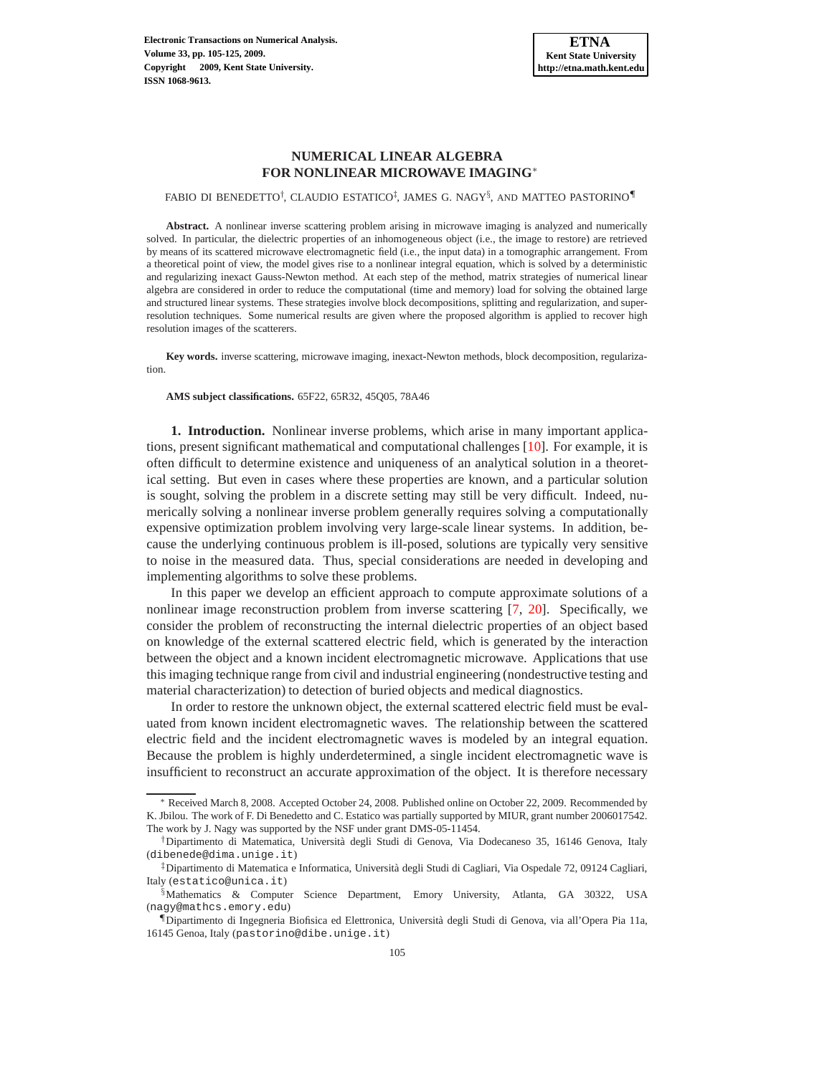# **NUMERICAL LINEAR ALGEBRA FOR NONLINEAR MICROWAVE IMAGING**<sup>∗</sup>

FABIO DI BENEDETTO<sup>†</sup>, CLAUDIO ESTATICO<sup>‡</sup>, JAMES G. NAGY<sup>§</sup>, AND MATTEO PASTORINO¶

**Abstract.** A nonlinear inverse scattering problem arising in microwave imaging is analyzed and numerically solved. In particular, the dielectric properties of an inhomogeneous object (i.e., the image to restore) are retrieved by means of its scattered microwave electromagnetic field (i.e., the input data) in a tomographic arrangement. From a theoretical point of view, the model gives rise to a nonlinear integral equation, which is solved by a deterministic and regularizing inexact Gauss-Newton method. At each step of the method, matrix strategies of numerical linear algebra are considered in order to reduce the computational (time and memory) load for solving the obtained large and structured linear systems. These strategies involve block decompositions, splitting and regularization, and superresolution techniques. Some numerical results are given where the proposed algorithm is applied to recover high resolution images of the scatterers.

**Key words.** inverse scattering, microwave imaging, inexact-Newton methods, block decomposition, regularization.

**AMS subject classifications.** 65F22, 65R32, 45Q05, 78A46

**1. Introduction.** Nonlinear inverse problems, which arise in many important applications, present significant mathematical and computational challenges [\[10](#page-20-0)]. For example, it is often difficult to determine existence and uniqueness of an analytical solution in a theoretical setting. But even in cases where these properties are known, and a particular solution is sought, solving the problem in a discrete setting may still be very difficult. Indeed, numerically solving a nonlinear inverse problem generally requires solving a computationally expensive optimization problem involving very large-scale linear systems. In addition, because the underlying continuous problem is ill-posed, solutions are typically very sensitive to noise in the measured data. Thus, special considerations are needed in developing and implementing algorithms to solve these problems.

In this paper we develop an efficient approach to compute approximate solutions of a nonlinear image reconstruction problem from inverse scattering [\[7](#page-20-1), [20\]](#page-20-2). Specifically, we consider the problem of reconstructing the internal dielectric properties of an object based on knowledge of the external scattered electric field, which is generated by the interaction between the object and a known incident electromagnetic microwave. Applications that use this imaging technique range from civil and industrial engineering (nondestructive testing and material characterization) to detection of buried objects and medical diagnostics.

In order to restore the unknown object, the external scattered electric field must be evaluated from known incident electromagnetic waves. The relationship between the scattered electric field and the incident electromagnetic waves is modeled by an integral equation. Because the problem is highly underdetermined, a single incident electromagnetic wave is insufficient to reconstruct an accurate approximation of the object. It is therefore necessary

<sup>∗</sup> Received March 8, 2008. Accepted October 24, 2008. Published online on October 22, 2009. Recommended by K. Jbilou. The work of F. Di Benedetto and C. Estatico was partially supported by MIUR, grant number 2006017542. The work by J. Nagy was supported by the NSF under grant DMS-05-11454.

<sup>†</sup>Dipartimento di Matematica, Universit`a degli Studi di Genova, Via Dodecaneso 35, 16146 Genova, Italy (dibenede@dima.unige.it)

<sup>&</sup>lt;sup>‡</sup>Dipartimento di Matematica e Informatica, Università degli Studi di Cagliari, Via Ospedale 72, 09124 Cagliari, Italy (estatico@unica.it)

<sup>§</sup>Mathematics & Computer Science Department, Emory University, Atlanta, GA 30322, USA (nagy@mathcs.emory.edu)

<sup>¶</sup>Dipartimento di Ingegneria Biofisica ed Elettronica, Universit`a degli Studi di Genova, via all'Opera Pia 11a, 16145 Genoa, Italy (pastorino@dibe.unige.it)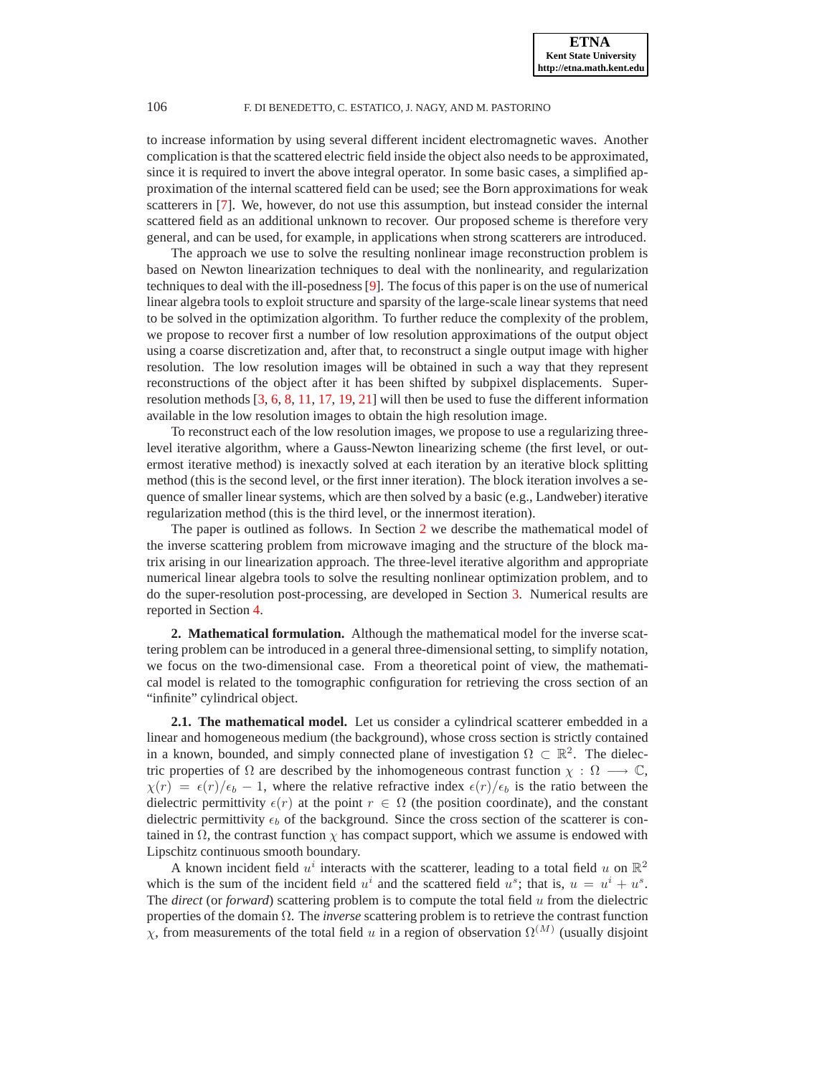to increase information by using several different incident electromagnetic waves. Another complication is that the scattered electric field inside the object also needs to be approximated, since it is required to invert the above integral operator. In some basic cases, a simplified approximation of the internal scattered field can be used; see the Born approximations for weak scatterers in [\[7\]](#page-20-1). We, however, do not use this assumption, but instead consider the internal scattered field as an additional unknown to recover. Our proposed scheme is therefore very general, and can be used, for example, in applications when strong scatterers are introduced.

The approach we use to solve the resulting nonlinear image reconstruction problem is based on Newton linearization techniques to deal with the nonlinearity, and regularization techniques to deal with the ill-posedness [\[9\]](#page-20-3). The focus of this paper is on the use of numerical linear algebra tools to exploit structure and sparsity of the large-scale linear systems that need to be solved in the optimization algorithm. To further reduce the complexity of the problem, we propose to recover first a number of low resolution approximations of the output object using a coarse discretization and, after that, to reconstruct a single output image with higher resolution. The low resolution images will be obtained in such a way that they represent reconstructions of the object after it has been shifted by subpixel displacements. Superresolution methods [\[3,](#page-20-4) [6,](#page-20-5) [8,](#page-20-6) [11,](#page-20-7) [17](#page-20-8), [19](#page-20-9), [21](#page-20-10)] will then be used to fuse the different information available in the low resolution images to obtain the high resolution image.

To reconstruct each of the low resolution images, we propose to use a regularizing threelevel iterative algorithm, where a Gauss-Newton linearizing scheme (the first level, or outermost iterative method) is inexactly solved at each iteration by an iterative block splitting method (this is the second level, or the first inner iteration). The block iteration involves a sequence of smaller linear systems, which are then solved by a basic (e.g., Landweber) iterative regularization method (this is the third level, or the innermost iteration).

The paper is outlined as follows. In Section [2](#page-1-0) we describe the mathematical model of the inverse scattering problem from microwave imaging and the structure of the block matrix arising in our linearization approach. The three-level iterative algorithm and appropriate numerical linear algebra tools to solve the resulting nonlinear optimization problem, and to do the super-resolution post-processing, are developed in Section [3.](#page-7-0) Numerical results are reported in Section [4.](#page-14-0)

<span id="page-1-0"></span>**2. Mathematical formulation.** Although the mathematical model for the inverse scattering problem can be introduced in a general three-dimensional setting, to simplify notation, we focus on the two-dimensional case. From a theoretical point of view, the mathematical model is related to the tomographic configuration for retrieving the cross section of an "infinite" cylindrical object.

<span id="page-1-1"></span>**2.1. The mathematical model.** Let us consider a cylindrical scatterer embedded in a linear and homogeneous medium (the background), whose cross section is strictly contained in a known, bounded, and simply connected plane of investigation  $\Omega \subset \mathbb{R}^2$ . The dielectric properties of  $\Omega$  are described by the inhomogeneous contrast function  $\chi : \Omega \longrightarrow \mathbb{C}$ ,  $\chi(r) = \epsilon(r)/\epsilon_b - 1$ , where the relative refractive index  $\epsilon(r)/\epsilon_b$  is the ratio between the dielectric permittivity  $\epsilon(r)$  at the point  $r \in \Omega$  (the position coordinate), and the constant dielectric permittivity  $\epsilon_b$  of the background. Since the cross section of the scatterer is contained in  $\Omega$ , the contrast function  $\chi$  has compact support, which we assume is endowed with Lipschitz continuous smooth boundary.

A known incident field  $u^i$  interacts with the scatterer, leading to a total field u on  $\mathbb{R}^2$ which is the sum of the incident field  $u^i$  and the scattered field  $u^s$ ; that is,  $u = u^i + u^s$ . The *direct* (or *forward*) scattering problem is to compute the total field u from the dielectric properties of the domain Ω. The *inverse* scattering problem is to retrieve the contrast function  $\chi$ , from measurements of the total field u in a region of observation  $\Omega^{(M)}$  (usually disjoint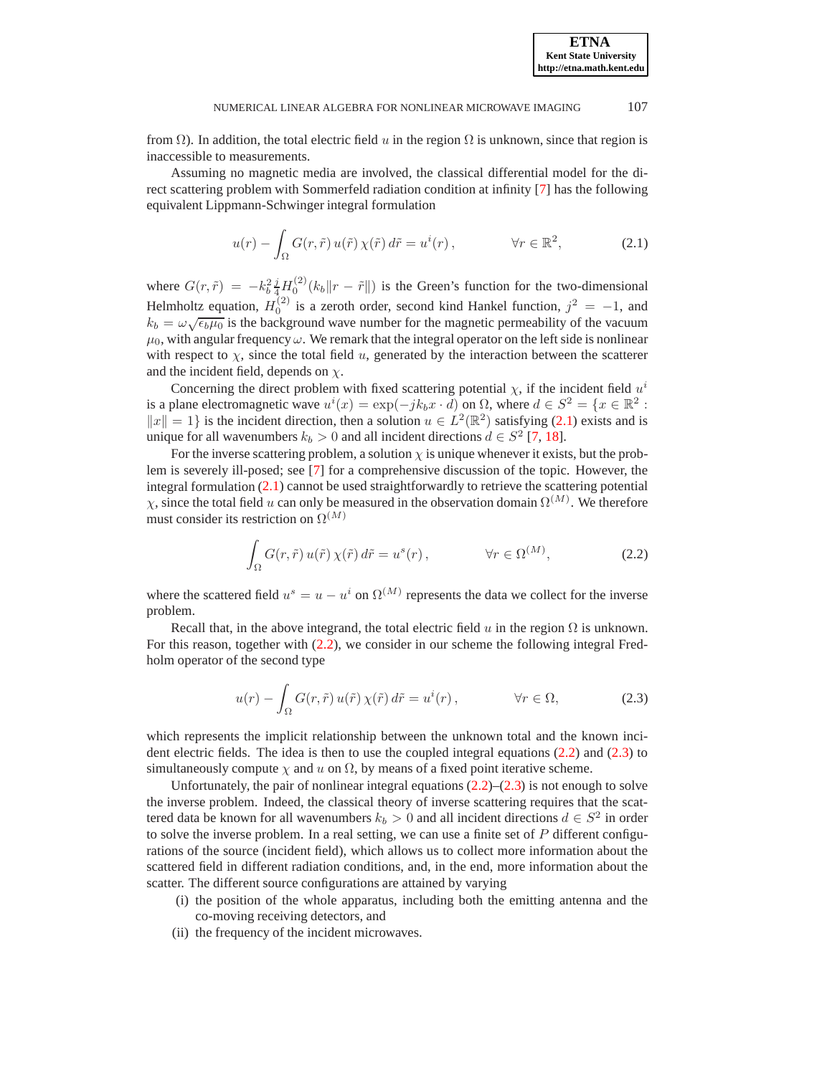**ETNA Kent State University http://etna.math.kent.edu**

from  $\Omega$ ). In addition, the total electric field u in the region  $\Omega$  is unknown, since that region is inaccessible to measurements.

Assuming no magnetic media are involved, the classical differential model for the direct scattering problem with Sommerfeld radiation condition at infinity [\[7](#page-20-1)] has the following equivalent Lippmann-Schwinger integral formulation

<span id="page-2-0"></span>
$$
u(r) - \int_{\Omega} G(r, \tilde{r}) u(\tilde{r}) \chi(\tilde{r}) d\tilde{r} = u^{i}(r), \qquad \forall r \in \mathbb{R}^{2}, \qquad (2.1)
$$

where  $G(r,\tilde{r}) = -k_b^2 \frac{j}{4} H_0^{(2)}(k_b \|r - \tilde{r}\|)$  is the Green's function for the two-dimensional Helmholtz equation,  $H_0^{(2)}$  is a zeroth order, second kind Hankel function,  $j^2 = -1$ , and  $k_b = \omega \sqrt{\epsilon_b \mu_0}$  is the background wave number for the magnetic permeability of the vacuum  $\mu_0$ , with angular frequency  $\omega$ . We remark that the integral operator on the left side is nonlinear with respect to  $\chi$ , since the total field u, generated by the interaction between the scatterer and the incident field, depends on  $\chi$ .

Concerning the direct problem with fixed scattering potential  $\chi$ , if the incident field  $u^i$ is a plane electromagnetic wave  $u^i(x) = \exp(-jk_bx \cdot d)$  on  $\Omega$ , where  $d \in S^2 = \{x \in \mathbb{R}^2 :$  $||x|| = 1$  is the incident direction, then a solution  $u \in L^2(\mathbb{R}^2)$  satisfying [\(2.1\)](#page-2-0) exists and is unique for all wavenumbers  $k_b > 0$  and all incident directions  $d \in S^2$  [\[7](#page-20-1), [18](#page-20-11)].

For the inverse scattering problem, a solution  $\chi$  is unique whenever it exists, but the problem is severely ill-posed; see [\[7\]](#page-20-1) for a comprehensive discussion of the topic. However, the integral formulation  $(2.1)$  cannot be used straightforwardly to retrieve the scattering potential  $\chi$ , since the total field u can only be measured in the observation domain  $\Omega^{(M)}$ . We therefore must consider its restriction on  $\Omega^{(M)}$ 

<span id="page-2-1"></span>
$$
\int_{\Omega} G(r,\tilde{r}) u(\tilde{r}) \chi(\tilde{r}) d\tilde{r} = u^{s}(r), \qquad \forall r \in \Omega^{(M)}, \qquad (2.2)
$$

where the scattered field  $u^s = u - u^i$  on  $\Omega^{(M)}$  represents the data we collect for the inverse problem.

Recall that, in the above integrand, the total electric field u in the region  $\Omega$  is unknown. For this reason, together with [\(2.2\)](#page-2-1), we consider in our scheme the following integral Fredholm operator of the second type

<span id="page-2-2"></span>
$$
u(r) - \int_{\Omega} G(r, \tilde{r}) u(\tilde{r}) \chi(\tilde{r}) d\tilde{r} = u^{i}(r), \qquad \forall r \in \Omega,
$$
 (2.3)

which represents the implicit relationship between the unknown total and the known incident electric fields. The idea is then to use the coupled integral equations [\(2.2\)](#page-2-1) and [\(2.3\)](#page-2-2) to simultaneously compute  $\chi$  and u on  $\Omega$ , by means of a fixed point iterative scheme.

Unfortunately, the pair of nonlinear integral equations  $(2.2)$ – $(2.3)$  is not enough to solve the inverse problem. Indeed, the classical theory of inverse scattering requires that the scattered data be known for all wavenumbers  $k_b > 0$  and all incident directions  $d \in S^2$  in order to solve the inverse problem. In a real setting, we can use a finite set of  $P$  different configurations of the source (incident field), which allows us to collect more information about the scattered field in different radiation conditions, and, in the end, more information about the scatter. The different source configurations are attained by varying

- (i) the position of the whole apparatus, including both the emitting antenna and the co-moving receiving detectors, and
- (ii) the frequency of the incident microwaves.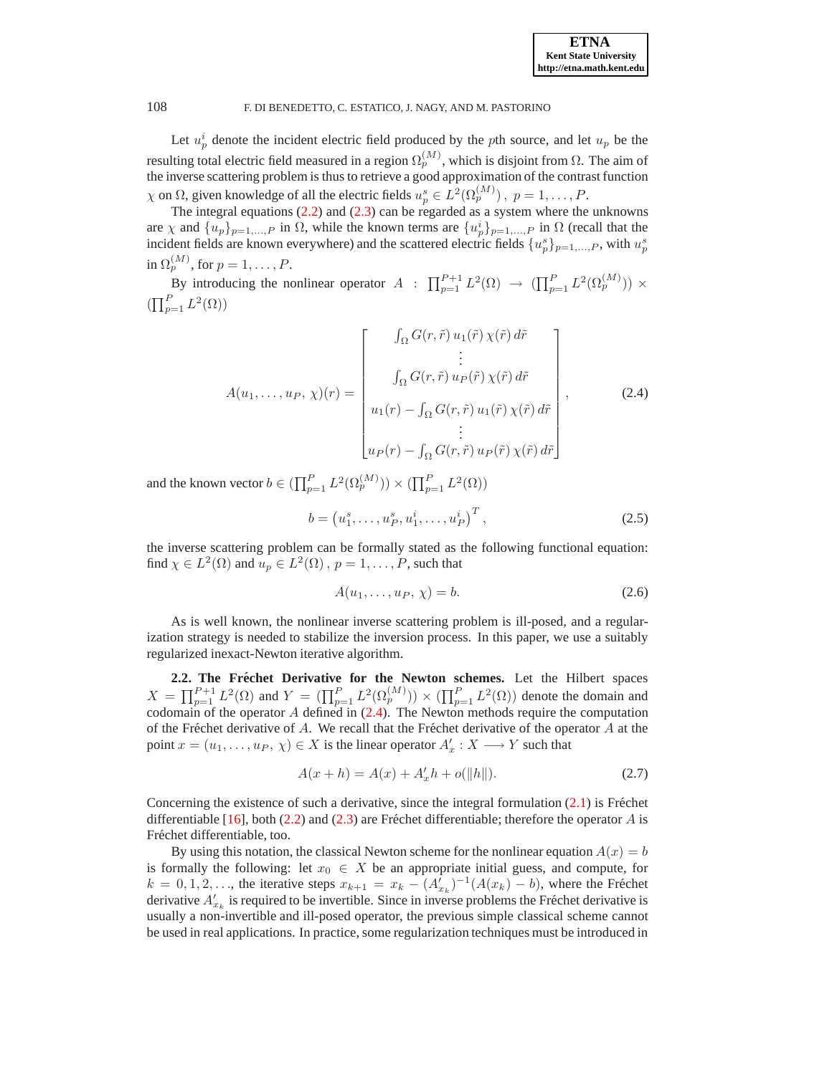Let  $u_p^i$  denote the incident electric field produced by the pth source, and let  $u_p$  be the resulting total electric field measured in a region  $\Omega_p^{(M)}$ , which is disjoint from  $\Omega$ . The aim of the inverse scattering problem is thus to retrieve a good approximation of the contrast function  $\chi$  on  $\Omega$ , given knowledge of all the electric fields  $u_p^s \in L^2(\Omega_p^{(M)})$ ,  $p = 1, \ldots, P$ .

The integral equations [\(2.2\)](#page-2-1) and [\(2.3\)](#page-2-2) can be regarded as a system where the unknowns are  $\chi$  and  $\{u_p\}_{p=1,\dots,P}$  in  $\Omega$ , while the known terms are  $\{u_p^i\}_{p=1,\dots,P}$  in  $\Omega$  (recall that the incident fields are known everywhere) and the scattered electric fields  $\{u_p^s\}_{p=1,\dots,P}$ , with  $u_p^s$ in  $\Omega_p^{(M)}$ , for  $p=1,\ldots,P$ .

By introducing the nonlinear operator  $A : \prod_{p=1}^{P+1} L^2(\Omega) \to (\prod_{p=1}^P L^2(\Omega_p^{(M)})) \times$  $\left(\prod_{p=1}^P L^2(\Omega)\right)$ 

$$
A(u_1, \ldots, u_P, \chi)(r) = \begin{bmatrix} \int_{\Omega} G(r, \tilde{r}) u_1(\tilde{r}) \chi(\tilde{r}) d\tilde{r} \\ \vdots \\ \int_{\Omega} G(r, \tilde{r}) u_P(\tilde{r}) \chi(\tilde{r}) d\tilde{r} \\ u_1(r) - \int_{\Omega} G(r, \tilde{r}) u_1(\tilde{r}) \chi(\tilde{r}) d\tilde{r} \\ \vdots \\ u_P(r) - \int_{\Omega} G(r, \tilde{r}) u_P(\tilde{r}) \chi(\tilde{r}) d\tilde{r} \end{bmatrix},
$$
(2.4)

<span id="page-3-0"></span>and the known vector  $b \in (\prod_{p=1}^P L^2(\Omega_p^{(M)})) \times (\prod_{p=1}^P L^2(\Omega))$ 

$$
b = (u_1^s, \dots, u_P^s, u_1^i, \dots, u_P^i)^T, \tag{2.5}
$$

the inverse scattering problem can be formally stated as the following functional equation: find  $\chi \in L^2(\Omega)$  and  $u_p \in L^2(\Omega)$  ,  $p = 1, \ldots, P$ , such that

<span id="page-3-2"></span>
$$
A(u_1, \ldots, u_P, \chi) = b. \tag{2.6}
$$

As is well known, the nonlinear inverse scattering problem is ill-posed, and a regularization strategy is needed to stabilize the inversion process. In this paper, we use a suitably regularized inexact-Newton iterative algorithm.

<span id="page-3-3"></span>2.2. The Fréchet Derivative for the Newton schemes. Let the Hilbert spaces  $X = \prod_{p=1}^{P+1} L^2(\Omega)$  and  $Y = (\prod_{p=1}^P L^2(\Omega_p^{(M)})) \times (\prod_{p=1}^P L^2(\Omega))$  denote the domain and codomain of the operator  $A$  defined in  $(2.4)$ . The Newton methods require the computation of the Fréchet derivative of A. We recall that the Fréchet derivative of the operator A at the point  $x = (u_1, \dots, u_P, \chi) \in X$  is the linear operator  $A'_x : X \longrightarrow Y$  such that

<span id="page-3-1"></span>
$$
A(x+h) = A(x) + A'_x h + o(||h||). \tag{2.7}
$$

Concerning the existence of such a derivative, since the integral formulation  $(2.1)$  is Fréchet differentiable [\[16](#page-20-12)], both [\(2.2\)](#page-2-1) and [\(2.3\)](#page-2-2) are Fréchet differentiable; therefore the operator A is Fréchet differentiable, too.

By using this notation, the classical Newton scheme for the nonlinear equation  $A(x) = b$ is formally the following: let  $x_0 \in X$  be an appropriate initial guess, and compute, for  $k = 0, 1, 2, \ldots$ , the iterative steps  $x_{k+1} = x_k - (A'_{x_k})^{-1}(A(x_k) - b)$ , where the Fréchet derivative  $A'_{x_k}$  is required to be invertible. Since in inverse problems the Fréchet derivative is usually a non-invertible and ill-posed operator, the previous simple classical scheme cannot be used in real applications. In practice, some regularization techniques must be introduced in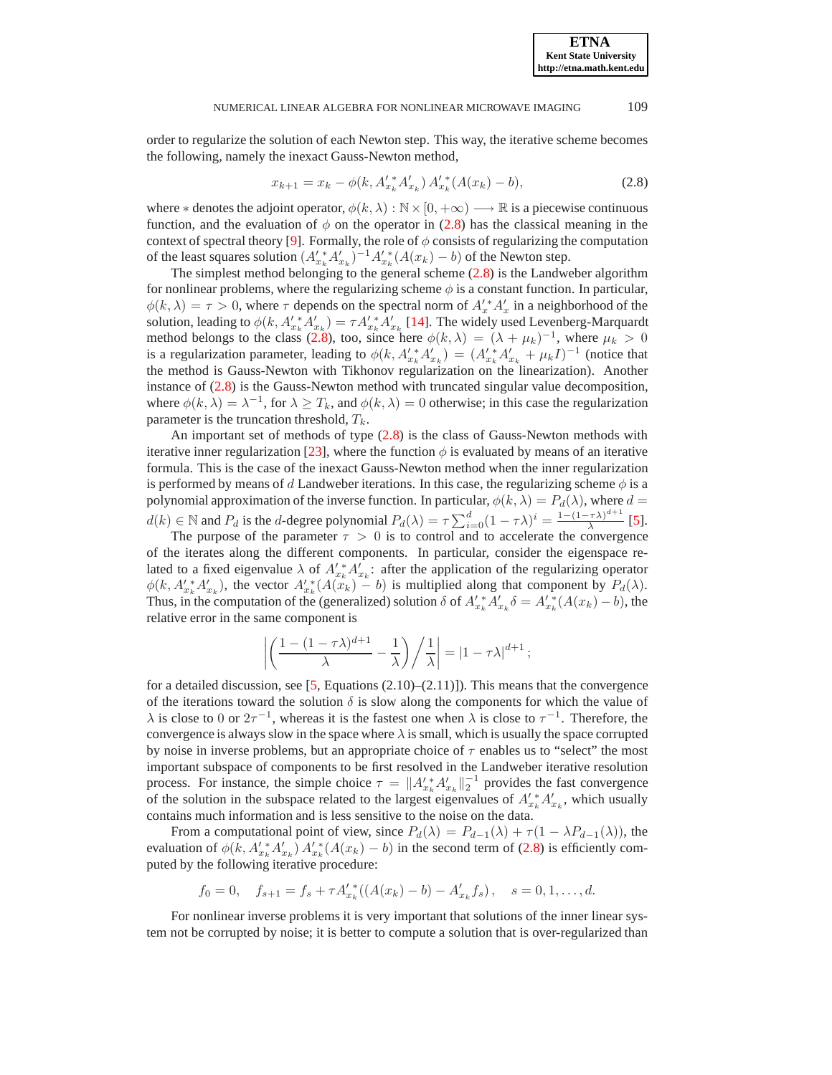#### NUMERICAL LINEAR ALGEBRA FOR NONLINEAR MICROWAVE IMAGING 109

order to regularize the solution of each Newton step. This way, the iterative scheme becomes the following, namely the inexact Gauss-Newton method,

<span id="page-4-0"></span>
$$
x_{k+1} = x_k - \phi(k, A_{x_k}^{\prime *} A_{x_k}^{\prime}) A_{x_k}^{\prime *}(A(x_k) - b), \qquad (2.8)
$$

where  $*$  denotes the adjoint operator,  $\phi(k, \lambda): \mathbb{N} \times [0, +\infty) \longrightarrow \mathbb{R}$  is a piecewise continuous function, and the evaluation of  $\phi$  on the operator in [\(2.8\)](#page-4-0) has the classical meaning in the context of spectral theory [\[9\]](#page-20-3). Formally, the role of  $\phi$  consists of regularizing the computation of the least squares solution  $(A'_{x_k}A'_{x_k})^{-1}A'_{x_k}(A(x_k) - b)$  of the Newton step.

The simplest method belonging to the general scheme [\(2.8\)](#page-4-0) is the Landweber algorithm for nonlinear problems, where the regularizing scheme  $\phi$  is a constant function. In particular,  $\phi(k,\lambda) = \tau > 0$ , where  $\tau$  depends on the spectral norm of  $A'_x A'_x$  in a neighborhood of the solution, leading to  $\phi(k, A'_{x_k}^* A'_{x_k}) = \tau A'_{x_k}^* A'_{x_k}$  [\[14](#page-20-13)]. The widely used Levenberg-Marquardt method belongs to the class [\(2.8\)](#page-4-0), too, since here  $\phi(k,\lambda) = (\lambda + \mu_k)^{-1}$ , where  $\mu_k > 0$ is a regularization parameter, leading to  $\phi(k, A'_{x_k}A'_{x_k}) = (A'_{x_k}A'_{x_k} + \mu_k I)^{-1}$  (notice that the method is Gauss-Newton with Tikhonov regularization on the linearization). Another instance of [\(2.8\)](#page-4-0) is the Gauss-Newton method with truncated singular value decomposition, where  $\phi(k, \lambda) = \lambda^{-1}$ , for  $\lambda \ge T_k$ , and  $\phi(k, \lambda) = 0$  otherwise; in this case the regularization parameter is the truncation threshold,  $T_k$ .

An important set of methods of type [\(2.8\)](#page-4-0) is the class of Gauss-Newton methods with iterative inner regularization [\[23\]](#page-20-14), where the function  $\phi$  is evaluated by means of an iterative formula. This is the case of the inexact Gauss-Newton method when the inner regularization is performed by means of d Landweber iterations. In this case, the regularizing scheme  $\phi$  is a polynomial approximation of the inverse function. In particular,  $\phi(k, \lambda) = P_d(\lambda)$ , where  $d =$  $d(k) \in \mathbb{N}$  and  $P_d$  is the d-degree polynomial  $P_d(\lambda) = \tau \sum_{i=0}^d (1 - \tau \lambda)^i = \frac{1 - (1 - \tau \lambda)^{d+1}}{\lambda}$  $\frac{(\tau \lambda)}{\lambda}$  [\[5](#page-20-15)].

The purpose of the parameter  $\tau > 0$  is to control and to accelerate the convergence of the iterates along the different components. In particular, consider the eigenspace related to a fixed eigenvalue  $\lambda$  of  $A'_{x_k}A'_{x_k}$ : after the application of the regularizing operator  $\phi(k, A'_{x_k} A'_{x_k})$ , the vector  $A'_{x_k} (A(x_k) - b)$  is multiplied along that component by  $P_d(\lambda)$ . Thus, in the computation of the (generalized) solution  $\delta$  of  $A'_{x_k} A'_{x_k} \delta = A'_{x_k} (A(x_k) - b)$ , the relative error in the same component is

$$
\left| \left( \frac{1 - (1 - \tau \lambda)^{d+1}}{\lambda} - \frac{1}{\lambda} \right) \bigg/ \frac{1}{\lambda} \right| = \left| 1 - \tau \lambda \right|^{d+1};
$$

for a detailed discussion, see  $[5,$  Equations  $(2.10)$ – $(2.11)$ ]). This means that the convergence of the iterations toward the solution  $\delta$  is slow along the components for which the value of  $\lambda$  is close to 0 or  $2\tau^{-1}$ , whereas it is the fastest one when  $\lambda$  is close to  $\tau^{-1}$ . Therefore, the convergence is always slow in the space where  $\lambda$  is small, which is usually the space corrupted by noise in inverse problems, but an appropriate choice of  $\tau$  enables us to "select" the most important subspace of components to be first resolved in the Landweber iterative resolution process. For instance, the simple choice  $\tau = ||A'_{x_k}^* A'_{x_k}||_2^{-1}$  provides the fast convergence of the solution in the subspace related to the largest eigenvalues of  $A'_{x_k} A'_{x_k}$ , which usually contains much information and is less sensitive to the noise on the data.

From a computational point of view, since  $P_d(\lambda) = P_{d-1}(\lambda) + \tau (1 - \lambda P_{d-1}(\lambda))$ , the evaluation of  $\phi(k, A'_{x_k}A'_{x_k}) A'^*_{x_k}(A(x_k) - b)$  in the second term of [\(2.8\)](#page-4-0) is efficiently computed by the following iterative procedure:

$$
f_0 = 0
$$
,  $f_{s+1} = f_s + \tau A'_{x_k}^*((A(x_k) - b) - A'_{x_k} f_s)$ ,  $s = 0, 1, ..., d$ .

For nonlinear inverse problems it is very important that solutions of the inner linear system not be corrupted by noise; it is better to compute a solution that is over-regularized than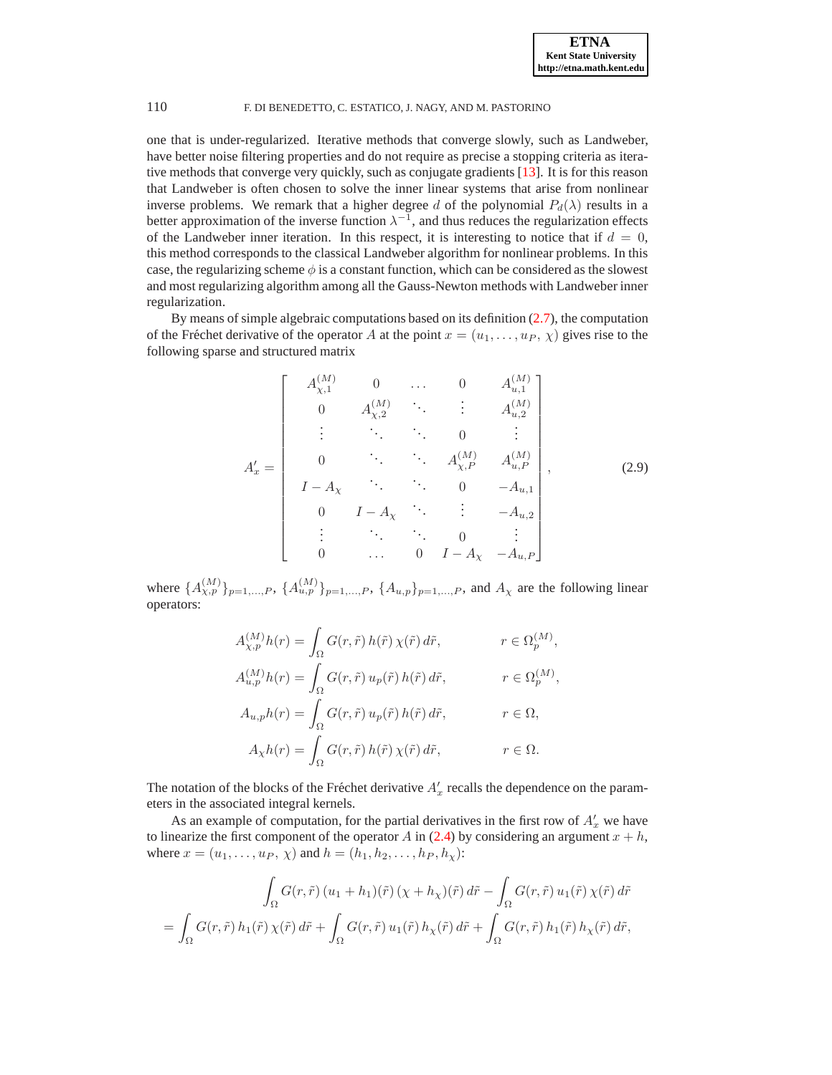one that is under-regularized. Iterative methods that converge slowly, such as Landweber, have better noise filtering properties and do not require as precise a stopping criteria as iterative methods that converge very quickly, such as conjugate gradients [\[13](#page-20-16)]. It is for this reason that Landweber is often chosen to solve the inner linear systems that arise from nonlinear inverse problems. We remark that a higher degree d of the polynomial  $P_d(\lambda)$  results in a better approximation of the inverse function  $\lambda^{-1}$ , and thus reduces the regularization effects of the Landweber inner iteration. In this respect, it is interesting to notice that if  $d = 0$ , this method corresponds to the classical Landweber algorithm for nonlinear problems. In this case, the regularizing scheme  $\phi$  is a constant function, which can be considered as the slowest and most regularizing algorithm among all the Gauss-Newton methods with Landweber inner regularization.

By means of simple algebraic computations based on its definition [\(2.7\)](#page-3-1), the computation of the Fréchet derivative of the operator A at the point  $x = (u_1, \ldots, u_P, \chi)$  gives rise to the following sparse and structured matrix

$$
A'_{x} = \begin{bmatrix} A_{\chi,1}^{(M)} & 0 & \dots & 0 & A_{u,1}^{(M)} \\ 0 & A_{\chi,2}^{(M)} & \ddots & \vdots & A_{u,2}^{(M)} \\ \vdots & \ddots & \ddots & 0 & \vdots \\ 0 & \ddots & \ddots & A_{\chi,P}^{(M)} & A_{u,P}^{(M)} \\ I - A_{\chi} & \ddots & \ddots & 0 & -A_{u,1} \\ 0 & I - A_{\chi} & \ddots & \vdots & -A_{u,2} \\ \vdots & \ddots & \ddots & 0 & \vdots \\ 0 & \dots & 0 & I - A_{\chi} & -A_{u,P} \end{bmatrix},
$$
(2.9)

<span id="page-5-0"></span>where  $\{A_{\chi,p}^{(M)}\}_{p=1,...,P}$ ,  $\{A_{u,p}^{(M)}\}_{p=1,...,P}$ ,  $\{A_{u,p}\}_{p=1,...,P}$ , and  $A_{\chi}$  are the following linear operators:

$$
\begin{aligned} A_{\chi,p}^{(M)}h(r)&=\int_{\Omega}G(r,\tilde{r})\,h(\tilde{r})\,\chi(\tilde{r})\,d\tilde{r}, &r\in\Omega_{p}^{(M)},\\ A_{u,p}^{(M)}h(r)&=\int_{\Omega}G(r,\tilde{r})\,u_{p}(\tilde{r})\,h(\tilde{r})\,d\tilde{r}, &r\in\Omega_{p}^{(M)},\\ A_{u,p}h(r)&=\int_{\Omega}G(r,\tilde{r})\,u_{p}(\tilde{r})\,h(\tilde{r})\,d\tilde{r}, &r\in\Omega,\\ A_{\chi}h(r)&=\int_{\Omega}G(r,\tilde{r})\,h(\tilde{r})\,\chi(\tilde{r})\,d\tilde{r}, &r\in\Omega. \end{aligned}
$$

The notation of the blocks of the Fréchet derivative  $A'_x$  recalls the dependence on the parameters in the associated integral kernels.

As an example of computation, for the partial derivatives in the first row of  $A'_x$  we have to linearize the first component of the operator A in [\(2.4\)](#page-3-0) by considering an argument  $x + h$ , where  $x = (u_1, ..., u_P, \chi)$  and  $h = (h_1, h_2, ..., h_P, h_\chi)$ :

$$
\int_{\Omega} G(r,\tilde{r}) \left( u_1 + h_1 \right) (\tilde{r}) \left( \chi + h_\chi \right) (\tilde{r}) d\tilde{r} - \int_{\Omega} G(r,\tilde{r}) u_1(\tilde{r}) \chi(\tilde{r}) d\tilde{r}
$$
\n
$$
= \int_{\Omega} G(r,\tilde{r}) h_1(\tilde{r}) \chi(\tilde{r}) d\tilde{r} + \int_{\Omega} G(r,\tilde{r}) u_1(\tilde{r}) h_\chi(\tilde{r}) d\tilde{r} + \int_{\Omega} G(r,\tilde{r}) h_1(\tilde{r}) h_\chi(\tilde{r}) d\tilde{r},
$$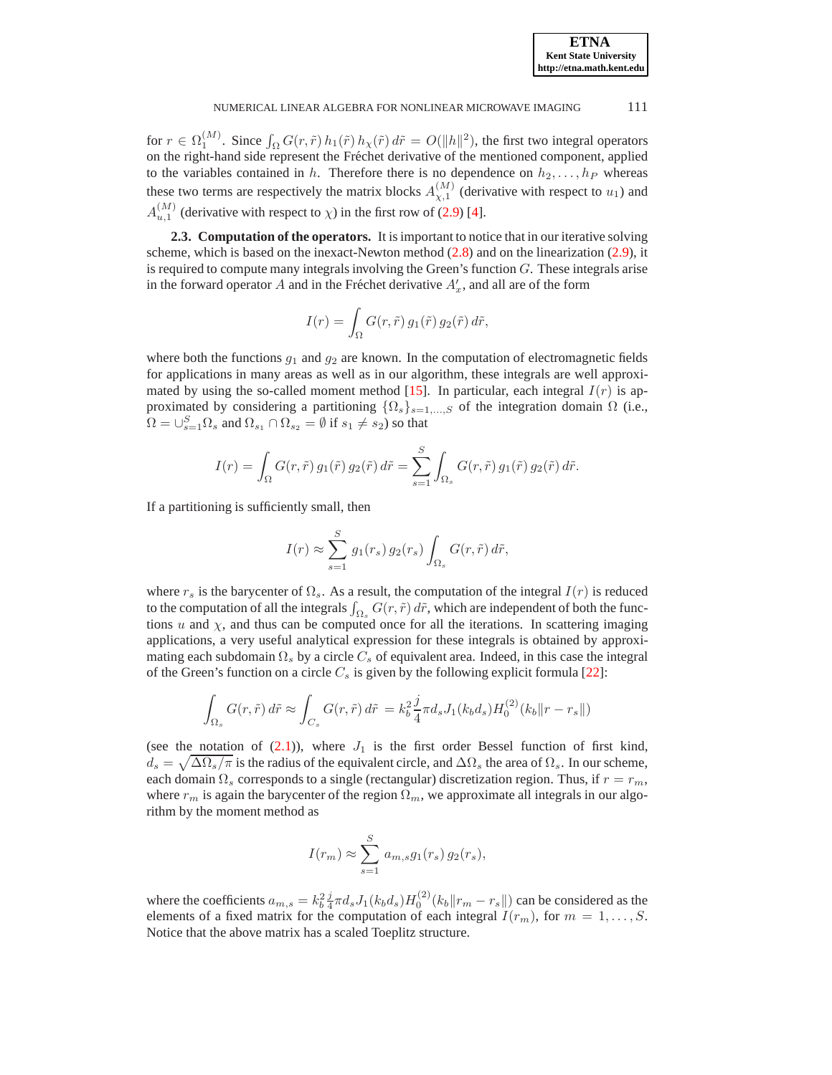#### NUMERICAL LINEAR ALGEBRA FOR NONLINEAR MICROWAVE IMAGING 111

for  $r \in \Omega_1^{(M)}$ . Since  $\int_{\Omega} G(r,\tilde{r}) h_1(\tilde{r}) h_{\chi}(\tilde{r}) d\tilde{r} = O(||h||^2)$ , the first two integral operators on the right-hand side represent the Fréchet derivative of the mentioned component, applied to the variables contained in h. Therefore there is no dependence on  $h_2, \ldots, h_P$  whereas these two terms are respectively the matrix blocks  $A_{\chi,1}^{(M)}$  (derivative with respect to  $u_1$ ) and  $A_{u,1}^{(M)}$  (derivative with respect to  $\chi$ ) in the first row of [\(2.9\)](#page-5-0) [\[4](#page-20-17)].

**2.3. Computation of the operators.** It is important to notice that in our iterative solving scheme, which is based on the inexact-Newton method  $(2.8)$  and on the linearization  $(2.9)$ , it is required to compute many integrals involving the Green's function  $G$ . These integrals arise in the forward operator A and in the Fréchet derivative  $A'_x$ , and all are of the form

$$
I(r) = \int_{\Omega} G(r, \tilde{r}) g_1(\tilde{r}) g_2(\tilde{r}) d\tilde{r},
$$

where both the functions  $g_1$  and  $g_2$  are known. In the computation of electromagnetic fields for applications in many areas as well as in our algorithm, these integrals are well approxi-mated by using the so-called moment method [\[15](#page-20-18)]. In particular, each integral  $I(r)$  is approximated by considering a partitioning  $\{\Omega_s\}_{s=1,\dots,S}$  of the integration domain  $\Omega$  (i.e.,  $\Omega = \cup_{s=1}^{S} \Omega_s$  and  $\Omega_{s_1} \cap \Omega_{s_2} = \emptyset$  if  $s_1 \neq s_2$ ) so that

$$
I(r) = \int_{\Omega} G(r,\tilde{r}) g_1(\tilde{r}) g_2(\tilde{r}) d\tilde{r} = \sum_{s=1}^{S} \int_{\Omega_s} G(r,\tilde{r}) g_1(\tilde{r}) g_2(\tilde{r}) d\tilde{r}.
$$

If a partitioning is sufficiently small, then

$$
I(r) \approx \sum_{s=1}^{S} g_1(r_s) g_2(r_s) \int_{\Omega_s} G(r, \tilde{r}) d\tilde{r},
$$

where  $r_s$  is the barycenter of  $\Omega_s$ . As a result, the computation of the integral  $I(r)$  is reduced to the computation of all the integrals  $\int_{\Omega_s} G(r, \tilde{r}) d\tilde{r}$ , which are independent of both the functions  $u$  and  $\chi$ , and thus can be computed once for all the iterations. In scattering imaging applications, a very useful analytical expression for these integrals is obtained by approximating each subdomain  $\Omega_s$  by a circle  $C_s$  of equivalent area. Indeed, in this case the integral of the Green's function on a circle  $C_s$  is given by the following explicit formula [\[22](#page-20-19)]:

$$
\int_{\Omega_s} G(r,\tilde{r}) d\tilde{r} \approx \int_{C_s} G(r,\tilde{r}) d\tilde{r} = k_b^2 \frac{j}{4} \pi d_s J_1(k_b d_s) H_0^{(2)}(k_b \|r - r_s\|)
$$

(see the notation of  $(2.1)$ ), where  $J_1$  is the first order Bessel function of first kind,  $d_s = \sqrt{\Delta\Omega_s/\pi}$  is the radius of the equivalent circle, and  $\Delta\Omega_s$  the area of  $\Omega_s$ . In our scheme, each domain  $\Omega_s$  corresponds to a single (rectangular) discretization region. Thus, if  $r = r_m$ , where  $r_m$  is again the barycenter of the region  $\Omega_m$ , we approximate all integrals in our algorithm by the moment method as

$$
I(r_m) \approx \sum_{s=1}^{S} a_{m,s} g_1(r_s) g_2(r_s),
$$

where the coefficients  $a_{m,s} = k_b^2 \frac{j}{4} \pi d_s J_1(k_b d_s) H_0^{(2)}(k_b || r_m - r_s ||)$  can be considered as the elements of a fixed matrix for the computation of each integral  $I(r_m)$ , for  $m = 1, \ldots, S$ . Notice that the above matrix has a scaled Toeplitz structure.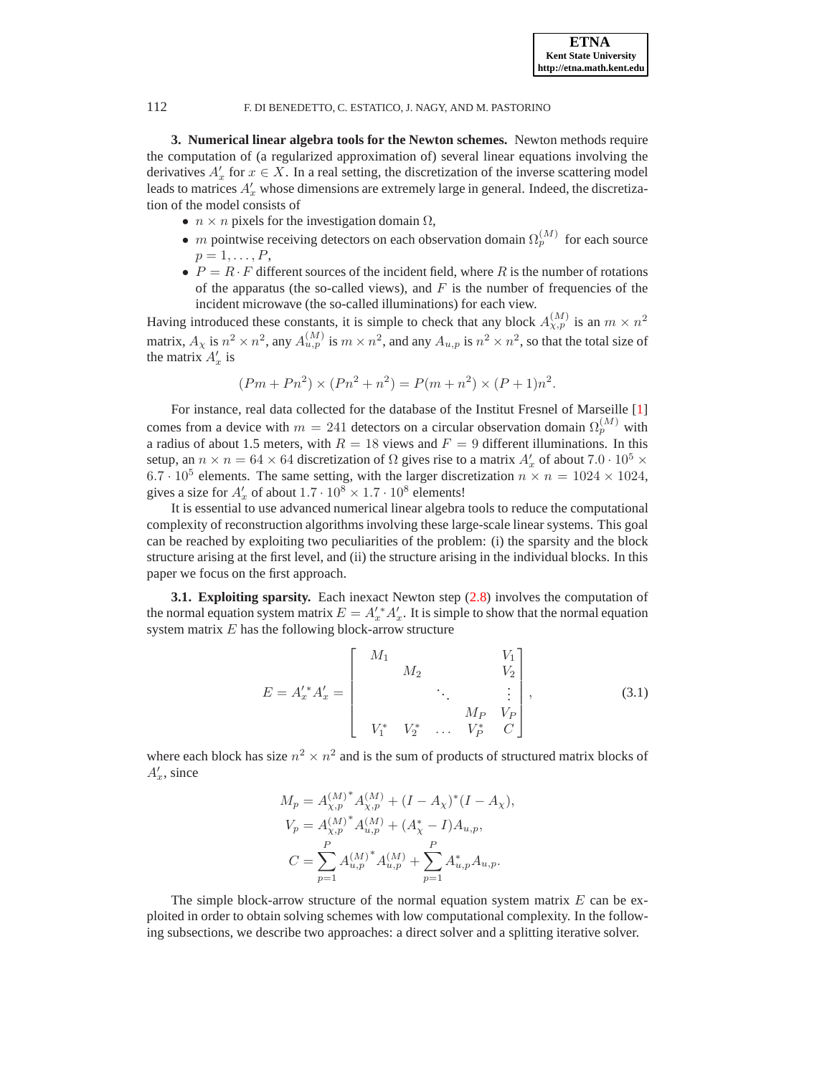**3. Numerical linear algebra tools for the Newton schemes.** Newton methods require the computation of (a regularized approximation of) several linear equations involving the derivatives  $A'_x$  for  $x \in X$ . In a real setting, the discretization of the inverse scattering model leads to matrices  $A'_x$  whose dimensions are extremely large in general. Indeed, the discretization of the model consists of

- $n \times n$  pixels for the investigation domain  $\Omega$ ,
- *m* pointwise receiving detectors on each observation domain  $\Omega_p^{(M)}$  for each source  $p=1,\ldots,P$ ,
- $P = R \cdot F$  different sources of the incident field, where R is the number of rotations of the apparatus (the so-called views), and  $F$  is the number of frequencies of the incident microwave (the so-called illuminations) for each view.

Having introduced these constants, it is simple to check that any block  $A_{\chi,p}^{(M)}$  is an  $m \times n^2$ matrix,  $A_\chi$  is  $n^2 \times n^2$ , any  $A_{u,p}^{(M)}$  is  $m \times n^2$ , and any  $A_{u,p}$  is  $n^2 \times n^2$ , so that the total size of the matrix  $A'_x$  is

$$
(Pm + Pn2) \times (Pn2 + n2) = P(m + n2) \times (P + 1)n2.
$$

For instance, real data collected for the database of the Institut Fresnel of Marseille [\[1\]](#page-20-20) comes from a device with  $m = 241$  detectors on a circular observation domain  $\Omega_p^{(M)}$  with a radius of about 1.5 meters, with  $R = 18$  views and  $F = 9$  different illuminations. In this setup, an  $n \times n = 64 \times 64$  discretization of  $\Omega$  gives rise to a matrix  $A'_x$  of about  $7.0 \cdot 10^5 \times$ 6.7 ·  $10^5$  elements. The same setting, with the larger discretization  $n \times n = 1024 \times 1024$ , gives a size for  $A'_x$  of about  $1.7 \cdot 10^8 \times 1.7 \cdot 10^8$  elements!

It is essential to use advanced numerical linear algebra tools to reduce the computational complexity of reconstruction algorithms involving these large-scale linear systems. This goal can be reached by exploiting two peculiarities of the problem: (i) the sparsity and the block structure arising at the first level, and (ii) the structure arising in the individual blocks. In this paper we focus on the first approach.

**3.1. Exploiting sparsity.** Each inexact Newton step [\(2.8\)](#page-4-0) involves the computation of the normal equation system matrix  $E = A'_x A'_x$ . It is simple to show that the normal equation system matrix  $E$  has the following block-arrow structure

<span id="page-7-1"></span>
$$
E = A_x^{\prime *} A_x^{\prime} = \begin{bmatrix} M_1 & & & V_1 \\ & M_2 & & V_2 \\ & & \ddots & & \vdots \\ & & & M_P & V_P \\ & & & & M_P & V_P \\ V_1^* & V_2^* & \dots & V_P^* & C \end{bmatrix},
$$
(3.1)

where each block has size  $n^2 \times n^2$  and is the sum of products of structured matrix blocks of  $A'_x$ , since

$$
M_p = A_{\chi,p}^{(M)^*} A_{\chi,p}^{(M)} + (I - A_{\chi})^* (I - A_{\chi}),
$$
  
\n
$$
V_p = A_{\chi,p}^{(M)^*} A_{u,p}^{(M)} + (A_{\chi}^* - I) A_{u,p},
$$
  
\n
$$
C = \sum_{p=1}^P A_{u,p}^{(M)^*} A_{u,p}^{(M)} + \sum_{p=1}^P A_{u,p}^* A_{u,p}.
$$

The simple block-arrow structure of the normal equation system matrix  $E$  can be exploited in order to obtain solving schemes with low computational complexity. In the following subsections, we describe two approaches: a direct solver and a splitting iterative solver.

<span id="page-7-0"></span>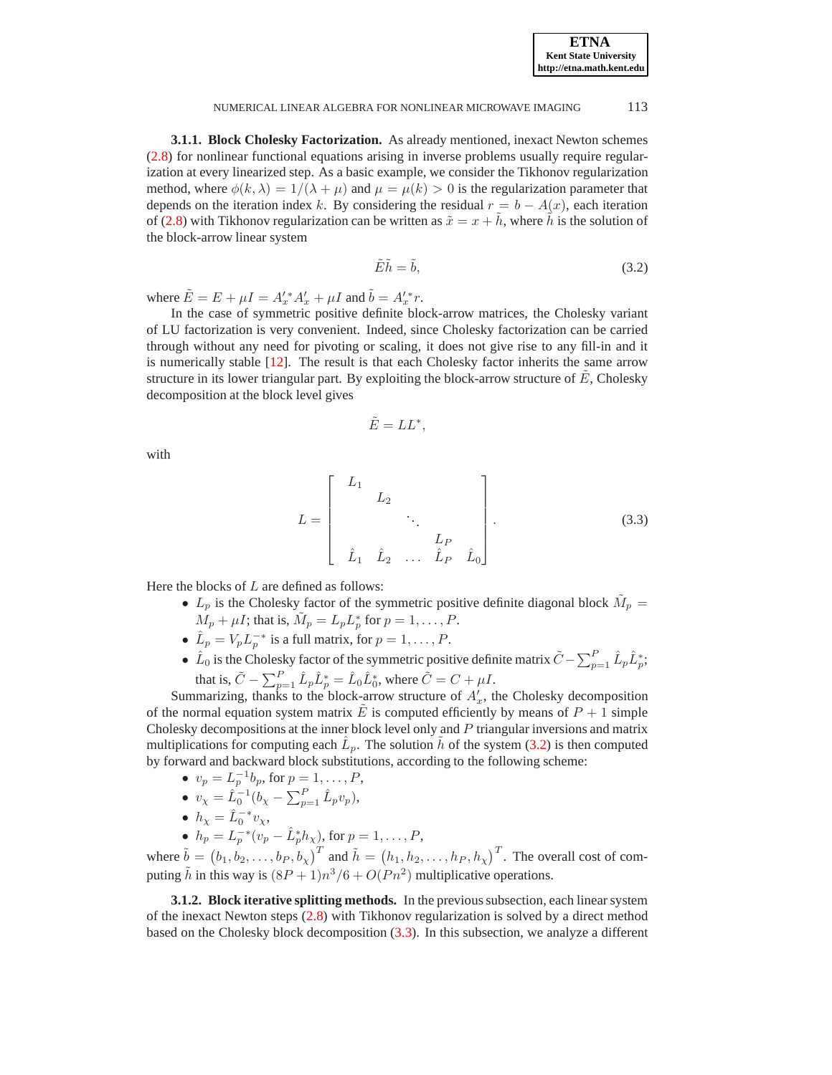**ETNA Kent State University http://etna.math.kent.edu**

#### NUMERICAL LINEAR ALGEBRA FOR NONLINEAR MICROWAVE IMAGING 113

<span id="page-8-2"></span>**3.1.1. Block Cholesky Factorization.** As already mentioned, inexact Newton schemes [\(2.8\)](#page-4-0) for nonlinear functional equations arising in inverse problems usually require regularization at every linearized step. As a basic example, we consider the Tikhonov regularization method, where  $\phi(k, \lambda) = 1/(\lambda + \mu)$  and  $\mu = \mu(k) > 0$  is the regularization parameter that depends on the iteration index k. By considering the residual  $r = b - A(x)$ , each iteration of [\(2.8\)](#page-4-0) with Tikhonov regularization can be written as  $\tilde{x} = x + \tilde{h}$ , where  $\tilde{h}$  is the solution of the block-arrow linear system

<span id="page-8-0"></span>
$$
\tilde{E}\tilde{h} = \tilde{b},\tag{3.2}
$$

where  $\tilde{E} = E + \mu I = A'_x^* A'_x + \mu I$  and  $\tilde{b} = A'_x^* r$ .

In the case of symmetric positive definite block-arrow matrices, the Cholesky variant of LU factorization is very convenient. Indeed, since Cholesky factorization can be carried through without any need for pivoting or scaling, it does not give rise to any fill-in and it is numerically stable [\[12\]](#page-20-21). The result is that each Cholesky factor inherits the same arrow structure in its lower triangular part. By exploiting the block-arrow structure of  $\hat{E}$ , Cholesky decomposition at the block level gives

$$
\tilde{E}=LL^*,
$$

with

<span id="page-8-1"></span>
$$
L = \begin{bmatrix} L_1 & & & & \\ & L_2 & & & \\ & & \ddots & & \\ & & & L_P & \\ & & & & L_P & \\ & & & & & L_P & \\ & & & & & & \end{bmatrix} .
$$
 (3.3)

Here the blocks of  $L$  are defined as follows:

- $L_p$  is the Cholesky factor of the symmetric positive definite diagonal block  $\tilde{M}_p =$  $M_p + \mu I$ ; that is,  $\tilde{M}_p = L_p L_p^*$  for  $p = 1, \dots, P$ .
- $\hat{L}_p = V_p L_p^{-*}$  is a full matrix, for  $p = 1, ..., P$ .
- $\hat{L}_0$  is the Cholesky factor of the symmetric positive definite matrix  $\tilde{C} \sum_{p=1}^P \hat{L}_p \hat{L}_p^*$ ; that is,  $\tilde{C} - \sum_{p=1}^{P} \hat{L}_p \hat{L}_p^* = \hat{L}_0 \hat{L}_0^*$ , where  $\tilde{C} = C + \mu I$ .

Summarizing, thanks to the block-arrow structure of  $A'_x$ , the Cholesky decomposition of the normal equation system matrix E is computed efficiently by means of  $P + 1$  simple Cholesky decompositions at the inner block level only and P triangular inversions and matrix multiplications for computing each  $\hat{L}_p$ . The solution  $\tilde{h}$  of the system [\(3.2\)](#page-8-0) is then computed by forward and backward block substitutions, according to the following scheme:

- $v_p = L_p^{-1}b_p$ , for  $p = 1, ..., P$ ,
- $v_{\chi} = \hat{L}_0^{-1} (b_{\chi} \sum_{p=1}^P \hat{L}_p v_p),$
- $h_{\chi} = \hat{L}_0^{-*} v_{\chi},$
- $h_p = L_p^{-*}(v_p \hat{L}_p^* h_\chi)$ , for  $p = 1, ..., P$ ,

where  $\tilde{b} = (b_1, b_2, \ldots, b_P, b_\chi)^T$  and  $\tilde{h} = (h_1, h_2, \ldots, h_P, h_\chi)^T$ . The overall cost of computing  $\tilde{h}$  in this way is  $(8P + 1)n^3/6 + O(Pn^2)$  multiplicative operations.

**3.1.2. Block iterative splitting methods.** In the previous subsection, each linear system of the inexact Newton steps [\(2.8\)](#page-4-0) with Tikhonov regularization is solved by a direct method based on the Cholesky block decomposition [\(3.3\)](#page-8-1). In this subsection, we analyze a different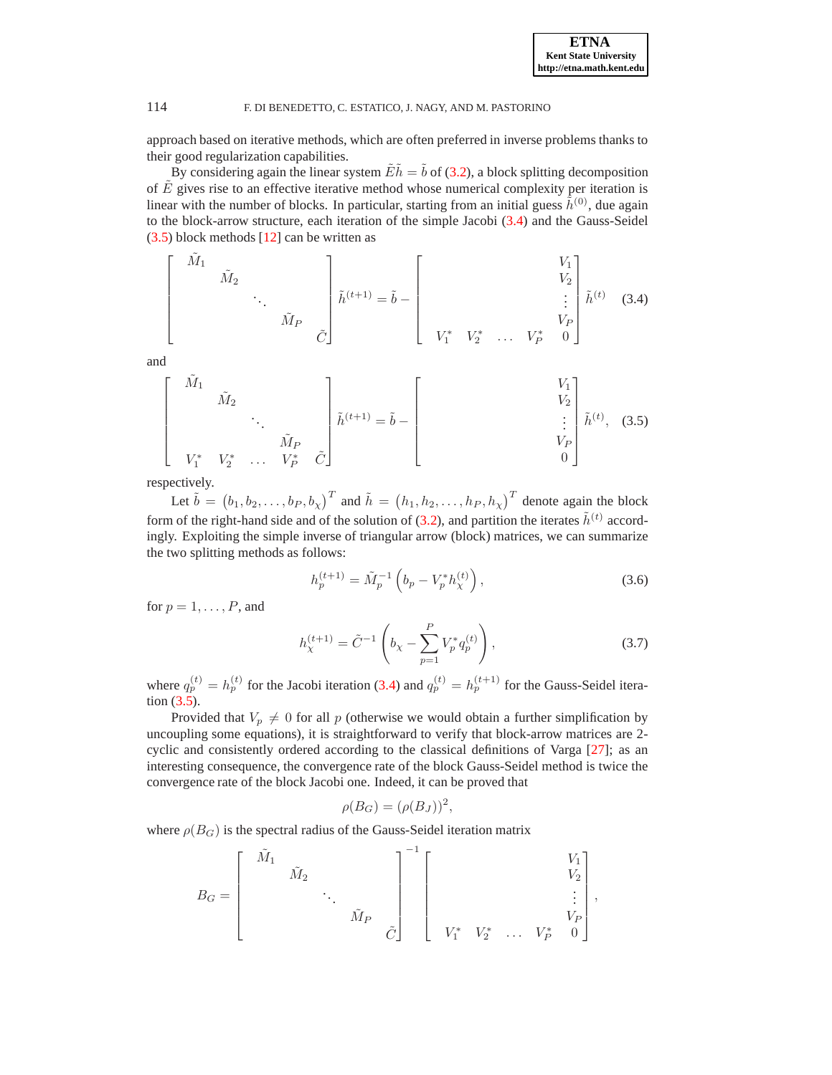approach based on iterative methods, which are often preferred in inverse problems thanks to their good regularization capabilities.

By considering again the linear system  $\tilde{E} \tilde{h} = \tilde{b}$  of [\(3.2\)](#page-8-0), a block splitting decomposition of  $\hat{E}$  gives rise to an effective iterative method whose numerical complexity per iteration is linear with the number of blocks. In particular, starting from an initial guess  $\hat{h}^{(0)}$ , due again to the block-arrow structure, each iteration of the simple Jacobi [\(3.4\)](#page-9-0) and the Gauss-Seidel [\(3.5\)](#page-9-1) block methods [\[12\]](#page-20-21) can be written as

<span id="page-9-0"></span>
$$
\begin{bmatrix}\n\tilde{M}_1 & & & & \\
& \tilde{M}_2 & & & \\
& & \ddots & & \\
& & & \tilde{M}_P & \\
& & & & \tilde{C}\n\end{bmatrix}\n\tilde{h}^{(t+1)} = \tilde{b} - \begin{bmatrix}\n& & & V_1 \\
& & & V_2 \\
& & & \vdots \\
& & & V_P \\
& & & V_P & 0\n\end{bmatrix}\n\tilde{h}^{(t)} \quad (3.4)
$$

and

<span id="page-9-1"></span>
$$
\begin{bmatrix}\n\tilde{M}_1 & & & & & \\
& \tilde{M}_2 & & & \\
& & \ddots & & \\
& & & \tilde{M}_P & \\
& & & & V_1^* & V_2^* & \dots & V_P^* & \tilde{C}\n\end{bmatrix}\n\tilde{h}^{(t+1)} = \tilde{b} - \begin{bmatrix}\nV_1 \\
& V_2 \\
& & \vdots \\
& & V_P \\
& & & 0\n\end{bmatrix}\n\tilde{h}^{(t)}, (3.5)
$$

respectively.

Let  $\tilde{b} = (b_1, b_2, \ldots, b_P, b_\chi)^T$  and  $\tilde{h} = (h_1, h_2, \ldots, h_P, h_\chi)^T$  denote again the block form of the right-hand side and of the solution of [\(3.2\)](#page-8-0), and partition the iterates  $\tilde{h}^{(t)}$  accordingly. Exploiting the simple inverse of triangular arrow (block) matrices, we can summarize the two splitting methods as follows:

<span id="page-9-2"></span>
$$
h_p^{(t+1)} = \tilde{M}_p^{-1} \left( b_p - V_p^* h_\chi^{(t)} \right), \tag{3.6}
$$

for  $p = 1, \ldots, P$ , and

<span id="page-9-3"></span>
$$
h_{\chi}^{(t+1)} = \tilde{C}^{-1} \left( b_{\chi} - \sum_{p=1}^{P} V_p^* q_p^{(t)} \right), \qquad (3.7)
$$

where  $q_p^{(t)} = h_p^{(t)}$  for the Jacobi iteration [\(3.4\)](#page-9-0) and  $q_p^{(t)} = h_p^{(t+1)}$  for the Gauss-Seidel iteration [\(3.5\)](#page-9-1).

Provided that  $V_p \neq 0$  for all p (otherwise we would obtain a further simplification by uncoupling some equations), it is straightforward to verify that block-arrow matrices are 2 cyclic and consistently ordered according to the classical definitions of Varga [\[27](#page-20-22)]; as an interesting consequence, the convergence rate of the block Gauss-Seidel method is twice the convergence rate of the block Jacobi one. Indeed, it can be proved that

$$
\rho(B_G) = (\rho(B_J))^2,
$$

<sup>−</sup><sup>1</sup>

where  $\rho(B_G)$  is the spectral radius of the Gauss-Seidel iteration matrix

$$
B_G = \begin{bmatrix} \tilde{M}_1 & & & & & \\ & \tilde{M}_2 & & & & \\ & & \ddots & & & \\ & & & \tilde{M}_P & \\ & & & & \tilde{C} \end{bmatrix}^{-1} \begin{bmatrix} & & & & & V_1 \\ & & & & & V_2 \\ & & & & & \vdots \\ & & & & & V_P \\ & & & & & V_P & \\ & & & & & V_P & 0 \end{bmatrix},
$$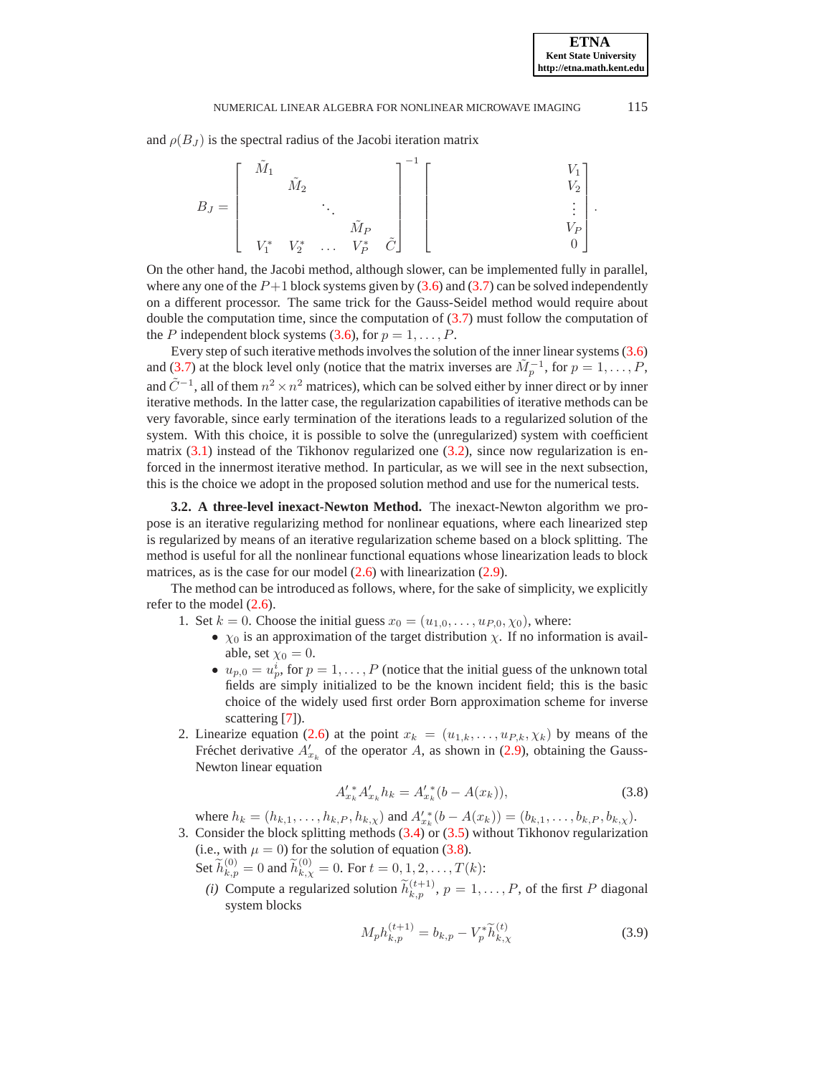#### NUMERICAL LINEAR ALGEBRA FOR NONLINEAR MICROWAVE IMAGING 115

and  $\rho(B_J)$  is the spectral radius of the Jacobi iteration matrix

|         | $M_1$ |                 |              |                       |             |  |                     |   |
|---------|-------|-----------------|--------------|-----------------------|-------------|--|---------------------|---|
|         |       | $\tilde{M}_2$   |              |                       |             |  |                     |   |
| $B_J =$ |       |                 |              |                       |             |  | ٠<br>$\bullet$<br>٠ | ٠ |
|         |       |                 |              | $\tilde{M}_P$ $V_P^*$ |             |  |                     |   |
|         |       | $V_1^*$ $V_2^*$ | $\sim 1.1$ . |                       | $\tilde{C}$ |  |                     |   |

On the other hand, the Jacobi method, although slower, can be implemented fully in parallel, where any one of the  $P+1$  block systems given by [\(3.6\)](#page-9-2) and [\(3.7\)](#page-9-3) can be solved independently on a different processor. The same trick for the Gauss-Seidel method would require about double the computation time, since the computation of [\(3.7\)](#page-9-3) must follow the computation of the P independent block systems [\(3.6\)](#page-9-2), for  $p = 1, \ldots, P$ .

Every step of such iterative methods involves the solution of the inner linear systems [\(3.6\)](#page-9-2) and [\(3.7\)](#page-9-3) at the block level only (notice that the matrix inverses are  $\tilde{M}_p^{-1}$ , for  $p = 1, \ldots, P$ , and  $\tilde{C}^{-1}$ , all of them  $n^2 \times n^2$  matrices), which can be solved either by inner direct or by inner iterative methods. In the latter case, the regularization capabilities of iterative methods can be very favorable, since early termination of the iterations leads to a regularized solution of the system. With this choice, it is possible to solve the (unregularized) system with coefficient matrix  $(3.1)$  instead of the Tikhonov regularized one  $(3.2)$ , since now regularization is enforced in the innermost iterative method. In particular, as we will see in the next subsection, this is the choice we adopt in the proposed solution method and use for the numerical tests.

<span id="page-10-3"></span>**3.2. A three-level inexact-Newton Method.** The inexact-Newton algorithm we propose is an iterative regularizing method for nonlinear equations, where each linearized step is regularized by means of an iterative regularization scheme based on a block splitting. The method is useful for all the nonlinear functional equations whose linearization leads to block matrices, as is the case for our model  $(2.6)$  with linearization  $(2.9)$ .

The method can be introduced as follows, where, for the sake of simplicity, we explicitly refer to the model [\(2.6\)](#page-3-2).

- 1. Set  $k = 0$ . Choose the initial guess  $x_0 = (u_{1,0}, \dots, u_{P,0}, \chi_0)$ , where:
	- $\chi_0$  is an approximation of the target distribution  $\chi$ . If no information is available, set  $\chi_0 = 0$ .
	- $u_{p,0} = u_p^i$ , for  $p = 1, ..., P$  (notice that the initial guess of the unknown total fields are simply initialized to be the known incident field; this is the basic choice of the widely used first order Born approximation scheme for inverse scattering [\[7](#page-20-1)]).
- <span id="page-10-1"></span>2. Linearize equation [\(2.6\)](#page-3-2) at the point  $x_k = (u_{1,k}, \ldots, u_{P,k}, \chi_k)$  by means of the Fréchet derivative  $A'_{x_k}$  of the operator A, as shown in [\(2.9\)](#page-5-0), obtaining the Gauss-Newton linear equation

<span id="page-10-0"></span>
$$
A'_{x_k} A'_{x_k} h_k = A'_{x_k} (b - A(x_k)), \tag{3.8}
$$

where  $h_k = (h_{k,1}, \ldots, h_{k,P}, h_{k,\chi})$  and  $A'^*_{x_k}(b - A(x_k)) = (b_{k,1}, \ldots, b_{k,P}, b_{k,\chi})$ .

- 3. Consider the block splitting methods [\(3.4\)](#page-9-0) or [\(3.5\)](#page-9-1) without Tikhonov regularization (i.e., with  $\mu = 0$ ) for the solution of equation [\(3.8\)](#page-10-0).
	- Set  $\widetilde{h}_{k,p}^{(0)} = 0$  and  $\widetilde{h}_{k,\chi}^{(0)} = 0$ . For  $t = 0, 1, 2, ..., T(k)$ :
	- *(i)* Compute a regularized solution  $\widetilde{h}_{k,p}^{(t+1)}$ ,  $p = 1, \ldots, P$ , of the first P diagonal system blocks

<span id="page-10-2"></span>
$$
M_p h_{k,p}^{(t+1)} = b_{k,p} - V_p^* \widetilde{h}_{k,\chi}^{(t)}
$$
\n(3.9)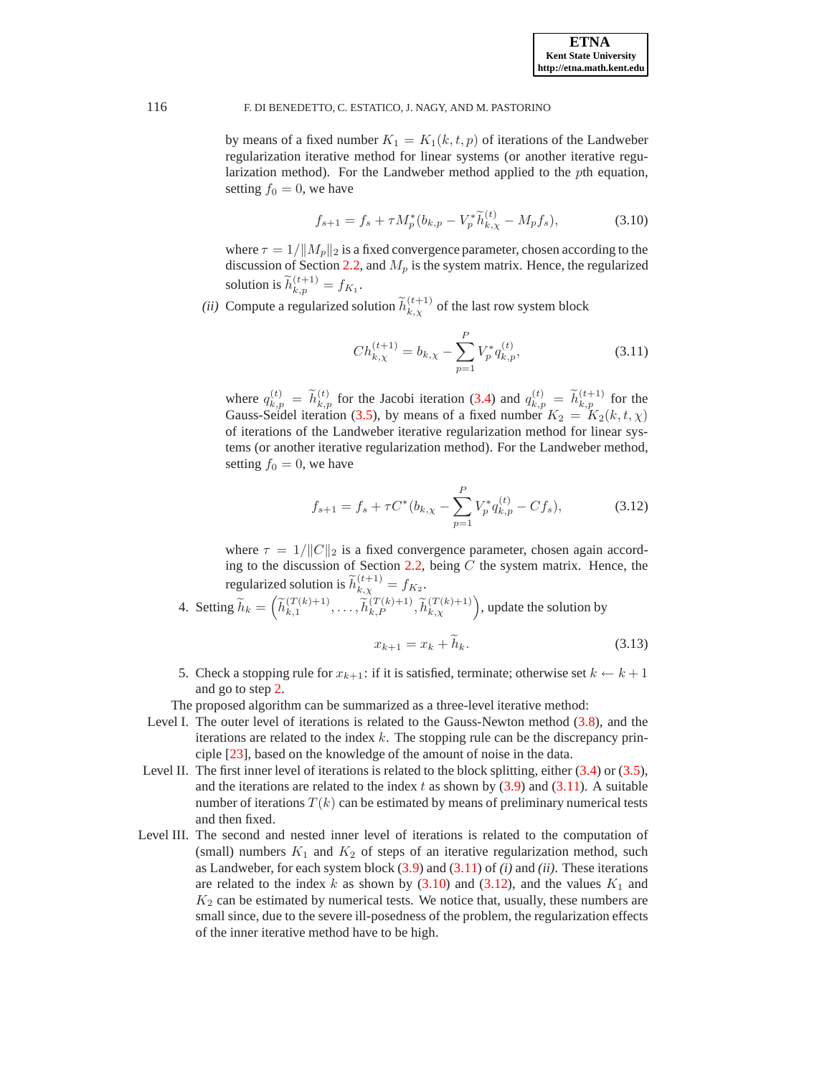by means of a fixed number  $K_1 = K_1(k, t, p)$  of iterations of the Landweber regularization iterative method for linear systems (or another iterative regularization method). For the Landweber method applied to the pth equation, setting  $f_0 = 0$ , we have

<span id="page-11-1"></span>
$$
f_{s+1} = f_s + \tau M_p^*(b_{k,p} - V_p^* \tilde{h}_{k,\chi}^{(t)} - M_p f_s), \tag{3.10}
$$

where  $\tau = 1/||M_p||_2$  is a fixed convergence parameter, chosen according to the discussion of Section [2.2,](#page-3-3) and  $M_p$  is the system matrix. Hence, the regularized solution is  $\widetilde{h}_{k,p}^{(t+1)} = f_{K_1}$ .

*(ii)* Compute a regularized solution  $\widetilde{h}_{k,\chi}^{(t+1)}$  of the last row system block

<span id="page-11-0"></span>
$$
Ch_{k,\chi}^{(t+1)} = b_{k,\chi} - \sum_{p=1}^{P} V_p^* q_{k,p}^{(t)},
$$
\n(3.11)

where  $q_{k,p}^{(t)} = \widetilde{h}_{k,p}^{(t)}$  for the Jacobi iteration [\(3.4\)](#page-9-0) and  $q_{k,p}^{(t)} = \widetilde{h}_{k,p}^{(t+1)}$  for the Gauss-Seidel iteration [\(3.5\)](#page-9-1), by means of a fixed number  $K_2 = K_2(k, t, \chi)$ of iterations of the Landweber iterative regularization method for linear systems (or another iterative regularization method). For the Landweber method, setting  $f_0 = 0$ , we have

<span id="page-11-2"></span>
$$
f_{s+1} = f_s + \tau C^*(b_{k,\chi} - \sum_{p=1}^P V_p^* q_{k,p}^{(t)} - C f_s),
$$
 (3.12)

where  $\tau = 1/||C||_2$  is a fixed convergence parameter, chosen again accord-ing to the discussion of Section [2.2,](#page-3-3) being  $C$  the system matrix. Hence, the regularized solution is  $\widetilde{h}_{k,\chi}^{(t+1)} = f_{K_2}$ .

4. Setting  $\widetilde{h}_k = \left(\widetilde{h}_{k,1}^{(T(k)+1)}\right)$  $\left(\begin{matrix} (T(k)+1) \\ k,1 \end{matrix}\right), \ldots, \widetilde{h}_{k,P}^{(T(k)+1)}, \widetilde{h}_{k,\chi}^{(T(k)+1)}\right)$ , update the solution by

$$
x_{k+1} = x_k + h_k. \t\t(3.13)
$$

5. Check a stopping rule for  $x_{k+1}$ : if it is satisfied, terminate; otherwise set  $k \leftarrow k+1$ and go to step [2.](#page-10-1)

The proposed algorithm can be summarized as a three-level iterative method:

- Level I. The outer level of iterations is related to the Gauss-Newton method [\(3.8\)](#page-10-0), and the iterations are related to the index  $k$ . The stopping rule can be the discrepancy principle [\[23](#page-20-14)], based on the knowledge of the amount of noise in the data.
- Level II. The first inner level of iterations is related to the block splitting, either [\(3.4\)](#page-9-0) or [\(3.5\)](#page-9-1), and the iterations are related to the index t as shown by  $(3.9)$  and  $(3.11)$ . A suitable number of iterations  $T(k)$  can be estimated by means of preliminary numerical tests and then fixed.
- Level III. The second and nested inner level of iterations is related to the computation of (small) numbers  $K_1$  and  $K_2$  of steps of an iterative regularization method, such as Landweber, for each system block [\(3.9\)](#page-10-2) and [\(3.11\)](#page-11-0) of *(i)* and *(ii)*. These iterations are related to the index k as shown by  $(3.10)$  and  $(3.12)$ , and the values  $K_1$  and  $K<sub>2</sub>$  can be estimated by numerical tests. We notice that, usually, these numbers are small since, due to the severe ill-posedness of the problem, the regularization effects of the inner iterative method have to be high.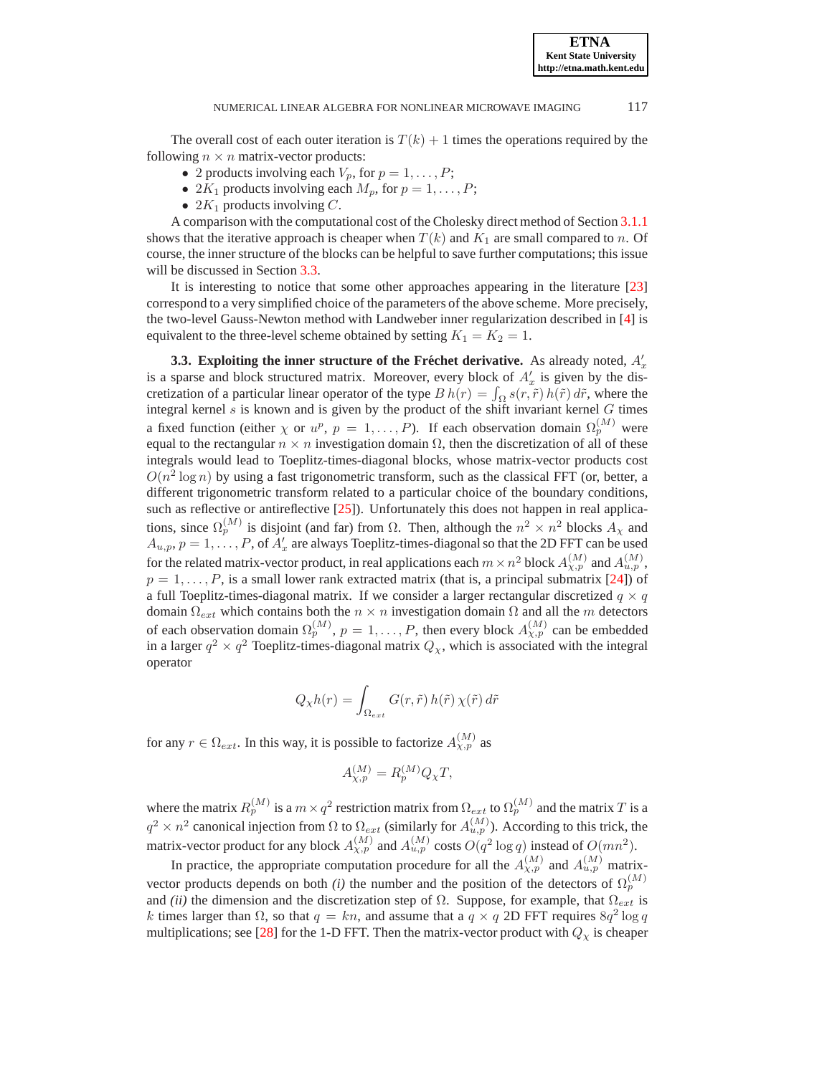The overall cost of each outer iteration is  $T(k) + 1$  times the operations required by the following  $n \times n$  matrix-vector products:

- 2 products involving each  $V_p$ , for  $p = 1, \ldots, P$ ;
- 2 $K_1$  products involving each  $M_p$ , for  $p = 1, \ldots, P$ ;
- 2 $K_1$  products involving C.

A comparison with the computational cost of the Cholesky direct method of Section [3.1.1](#page-8-2) shows that the iterative approach is cheaper when  $T(k)$  and  $K_1$  are small compared to n. Of course, the inner structure of the blocks can be helpful to save further computations; this issue will be discussed in Section [3.3.](#page-12-0)

It is interesting to notice that some other approaches appearing in the literature [\[23\]](#page-20-14) correspond to a very simplified choice of the parameters of the above scheme. More precisely, the two-level Gauss-Newton method with Landweber inner regularization described in [\[4](#page-20-17)] is equivalent to the three-level scheme obtained by setting  $K_1 = K_2 = 1$ .

<span id="page-12-0"></span>**3.3. Exploiting the inner structure of the Fréchet derivative.** As already noted,  $A'_x$ is a sparse and block structured matrix. Moreover, every block of  $A'_x$  is given by the discretization of a particular linear operator of the type  $B h(r) = \int_{\Omega} s(r, \tilde{r}) h(\tilde{r}) d\tilde{r}$ , where the integral kernel  $s$  is known and is given by the product of the shift invariant kernel  $G$  times a fixed function (either  $\chi$  or  $u^p$ ,  $p = 1, ..., P$ ). If each observation domain  $\Omega_p^{(M)}$  were equal to the rectangular  $n \times n$  investigation domain  $\Omega$ , then the discretization of all of these integrals would lead to Toeplitz-times-diagonal blocks, whose matrix-vector products cost  $O(n^2 \log n)$  by using a fast trigonometric transform, such as the classical FFT (or, better, a different trigonometric transform related to a particular choice of the boundary conditions, such as reflective or antireflective  $[25]$ ). Unfortunately this does not happen in real applications, since  $\Omega_p^{(M)}$  is disjoint (and far) from  $\Omega$ . Then, although the  $n^2 \times n^2$  blocks  $A_\chi$  and  $A_{u,p}, p = 1, \ldots, P$ , of  $A'_x$  are always Toeplitz-times-diagonal so that the 2D FFT can be used for the related matrix-vector product, in real applications each  $m \times n^2$  block  $A_{\chi,p}^{(M)}$  and  $A_{u,p}^{(M)}$ ,  $p = 1, \ldots, P$ , is a small lower rank extracted matrix (that is, a principal submatrix [\[24](#page-20-24)]) of a full Toeplitz-times-diagonal matrix. If we consider a larger rectangular discretized  $q \times q$ domain  $\Omega_{ext}$  which contains both the  $n \times n$  investigation domain  $\Omega$  and all the m detectors of each observation domain  $\Omega_p^{(M)}$ ,  $p = 1, \ldots, P$ , then every block  $A_{\chi,p}^{(M)}$  can be embedded in a larger  $q^2 \times q^2$  Toeplitz-times-diagonal matrix  $Q_{\chi}$ , which is associated with the integral operator

$$
Q_{\chi}h(r) = \int_{\Omega_{ext}} G(r,\tilde{r}) h(\tilde{r}) \chi(\tilde{r}) d\tilde{r}
$$

for any  $r \in \Omega_{ext}$ . In this way, it is possible to factorize  $A_{\chi,p}^{(M)}$  as

$$
A_{\chi,p}^{(M)} = R_p^{(M)} Q_\chi T,
$$

where the matrix  $R_p^{(M)}$  is a  $m \times q^2$  restriction matrix from  $\Omega_{ext}$  to  $\Omega_p^{(M)}$  and the matrix T is a  $q^2 \times n^2$  canonical injection from  $\Omega$  to  $\Omega_{ext}$  (similarly for  $A_{u,p}^{(M)}$ ). According to this trick, the matrix-vector product for any block  $A_{\chi,p}^{(M)}$  and  $A_{u,p}^{(M)}$  costs  $O(q^2 \log q)$  instead of  $O(mn^2)$ .

In practice, the appropriate computation procedure for all the  $A_{\chi,p}^{(M)}$  and  $A_{u,p}^{(M)}$  matrixvector products depends on both *(i)* the number and the position of the detectors of  $\Omega_p^{(M)}$ and *(ii)* the dimension and the discretization step of  $\Omega$ . Suppose, for example, that  $\Omega_{ext}$  is k times larger than  $\Omega$ , so that  $q = kn$ , and assume that a  $q \times q$  2D FFT requires  $8q^2 \log q$ multiplications; see [\[28](#page-20-25)] for the 1-D FFT. Then the matrix-vector product with  $Q<sub>x</sub>$  is cheaper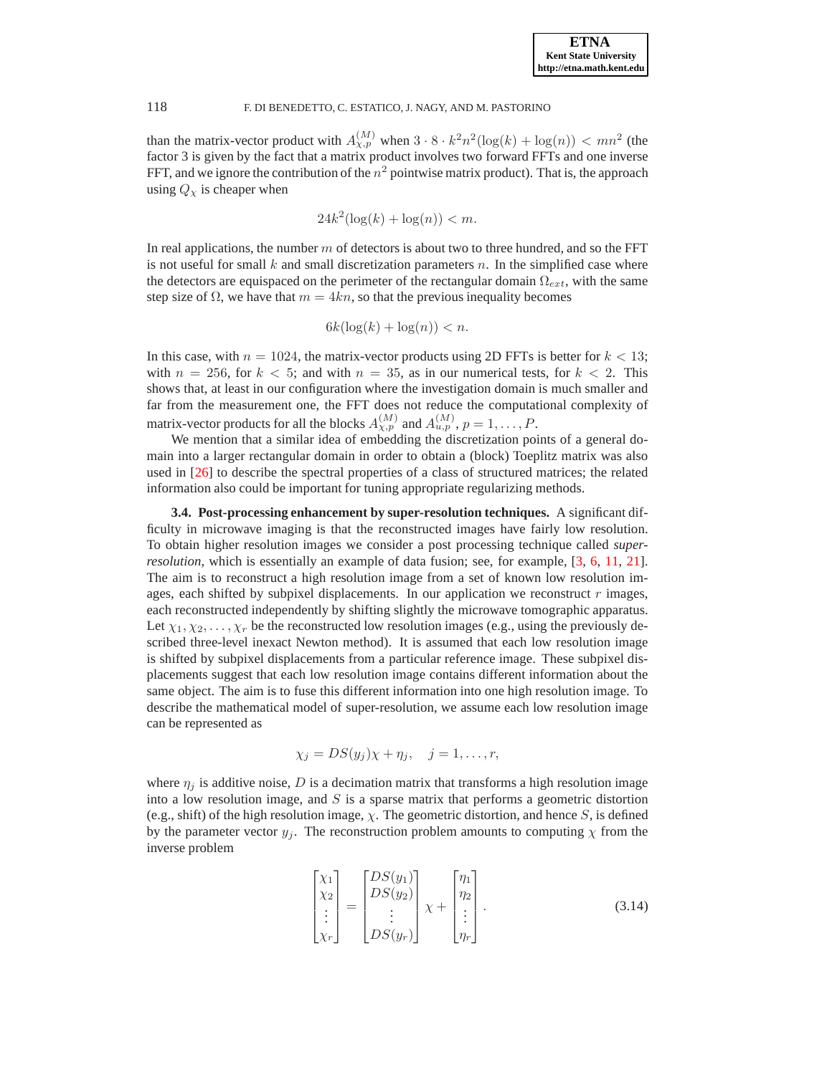than the matrix-vector product with  $A_{\chi,p}^{(M)}$  when  $3 \cdot 8 \cdot k^2 n^2 (\log(k) + \log(n)) < mn^2$  (the factor 3 is given by the fact that a matrix product involves two forward FFTs and one inverse FFT, and we ignore the contribution of the  $n^2$  pointwise matrix product). That is, the approach using  $Q_{\chi}$  is cheaper when

$$
24k^2(\log(k) + \log(n)) < m.
$$

In real applications, the number  $m$  of detectors is about two to three hundred, and so the FFT is not useful for small k and small discretization parameters n. In the simplified case where the detectors are equispaced on the perimeter of the rectangular domain  $\Omega_{ext}$ , with the same step size of  $\Omega$ , we have that  $m = 4kn$ , so that the previous inequality becomes

$$
6k(\log(k) + \log(n)) < n.
$$

In this case, with  $n = 1024$ , the matrix-vector products using 2D FFTs is better for  $k < 13$ ; with  $n = 256$ , for  $k < 5$ ; and with  $n = 35$ , as in our numerical tests, for  $k < 2$ . This shows that, at least in our configuration where the investigation domain is much smaller and far from the measurement one, the FFT does not reduce the computational complexity of matrix-vector products for all the blocks  $A_{\chi,p}^{(M)}$  and  $A_{u,p}^{(M)}$ ,  $p = 1, \ldots, P$ .

We mention that a similar idea of embedding the discretization points of a general domain into a larger rectangular domain in order to obtain a (block) Toeplitz matrix was also used in [\[26\]](#page-20-26) to describe the spectral properties of a class of structured matrices; the related information also could be important for tuning appropriate regularizing methods.

<span id="page-13-1"></span>**3.4. Post-processing enhancement by super-resolution techniques.** A significant difficulty in microwave imaging is that the reconstructed images have fairly low resolution. To obtain higher resolution images we consider a post processing technique called *superresolution*, which is essentially an example of data fusion; see, for example, [\[3,](#page-20-4) [6,](#page-20-5) [11,](#page-20-7) [21](#page-20-10)]. The aim is to reconstruct a high resolution image from a set of known low resolution images, each shifted by subpixel displacements. In our application we reconstruct  $r$  images, each reconstructed independently by shifting slightly the microwave tomographic apparatus. Let  $\chi_1, \chi_2, \ldots, \chi_r$  be the reconstructed low resolution images (e.g., using the previously described three-level inexact Newton method). It is assumed that each low resolution image is shifted by subpixel displacements from a particular reference image. These subpixel displacements suggest that each low resolution image contains different information about the same object. The aim is to fuse this different information into one high resolution image. To describe the mathematical model of super-resolution, we assume each low resolution image can be represented as

$$
\chi_j = DS(y_j)\chi + \eta_j, \quad j = 1, \dots, r,
$$

where  $\eta_j$  is additive noise, D is a decimation matrix that transforms a high resolution image into a low resolution image, and  $S$  is a sparse matrix that performs a geometric distortion (e.g., shift) of the high resolution image,  $\chi$ . The geometric distortion, and hence S, is defined by the parameter vector  $y_j$ . The reconstruction problem amounts to computing  $\chi$  from the inverse problem

<span id="page-13-0"></span>
$$
\begin{bmatrix} \chi_1 \\ \chi_2 \\ \vdots \\ \chi_r \end{bmatrix} = \begin{bmatrix} DS(y_1) \\ DS(y_2) \\ \vdots \\ DS(y_r) \end{bmatrix} \chi + \begin{bmatrix} \eta_1 \\ \eta_2 \\ \vdots \\ \eta_r \end{bmatrix} . \tag{3.14}
$$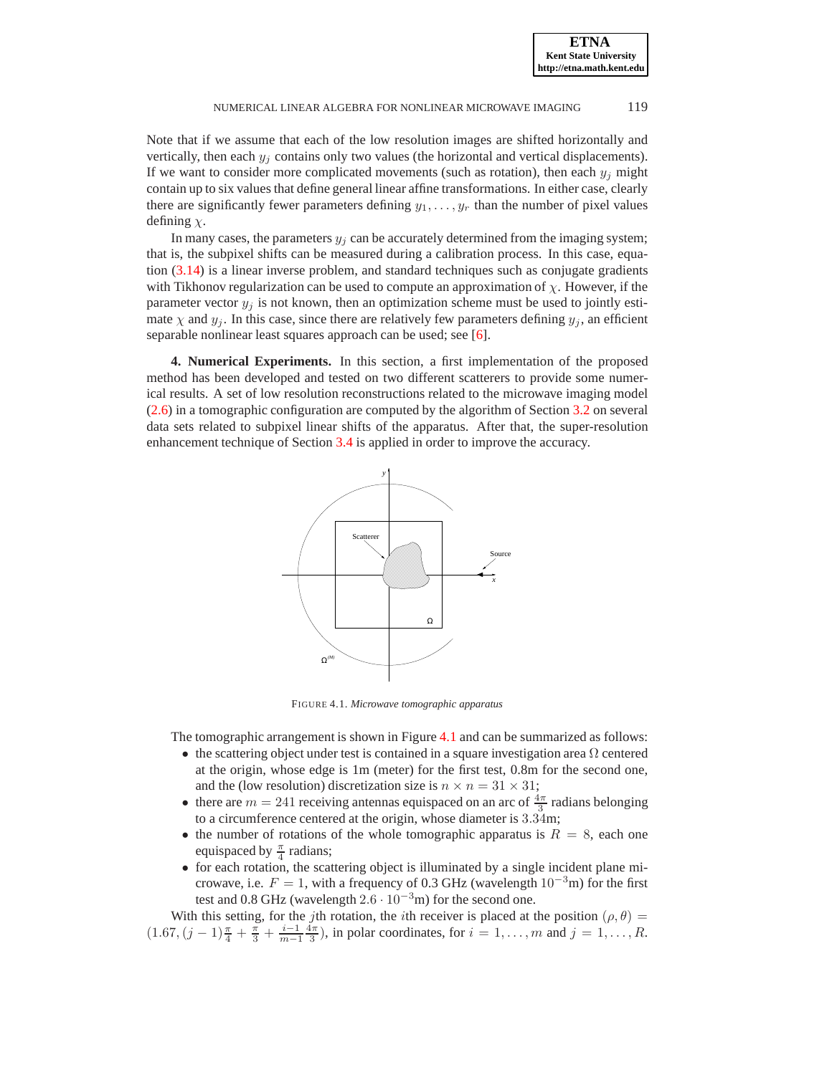**ETNA Kent State University http://etna.math.kent.edu**

#### NUMERICAL LINEAR ALGEBRA FOR NONLINEAR MICROWAVE IMAGING 119

Note that if we assume that each of the low resolution images are shifted horizontally and vertically, then each  $y_i$  contains only two values (the horizontal and vertical displacements). If we want to consider more complicated movements (such as rotation), then each  $y_i$  might contain up to six values that define general linear affine transformations. In either case, clearly there are significantly fewer parameters defining  $y_1, \ldots, y_r$  than the number of pixel values defining  $\chi$ .

In many cases, the parameters  $y_j$  can be accurately determined from the imaging system; that is, the subpixel shifts can be measured during a calibration process. In this case, equation [\(3.14\)](#page-13-0) is a linear inverse problem, and standard techniques such as conjugate gradients with Tikhonov regularization can be used to compute an approximation of  $\chi$ . However, if the parameter vector  $y_i$  is not known, then an optimization scheme must be used to jointly estimate  $\chi$  and  $y_j$ . In this case, since there are relatively few parameters defining  $y_j$ , an efficient separable nonlinear least squares approach can be used; see [\[6\]](#page-20-5).

<span id="page-14-0"></span>**4. Numerical Experiments.** In this section, a first implementation of the proposed method has been developed and tested on two different scatterers to provide some numerical results. A set of low resolution reconstructions related to the microwave imaging model [\(2.6\)](#page-3-2) in a tomographic configuration are computed by the algorithm of Section [3.2](#page-10-3) on several data sets related to subpixel linear shifts of the apparatus. After that, the super-resolution enhancement technique of Section [3.4](#page-13-1) is applied in order to improve the accuracy.



<span id="page-14-1"></span>FIGURE 4.1. *Microwave tomographic apparatus*

The tomographic arrangement is shown in Figure [4.1](#page-14-1) and can be summarized as follows:

- the scattering object under test is contained in a square investigation area  $\Omega$  centered at the origin, whose edge is 1m (meter) for the first test, 0.8m for the second one, and the (low resolution) discretization size is  $n \times n = 31 \times 31$ ;
- there are  $m = 241$  receiving antennas equispaced on an arc of  $\frac{4\pi}{3}$  radians belonging to a circumference centered at the origin, whose diameter is 3.34m;
- the number of rotations of the whole tomographic apparatus is  $R = 8$ , each one equispaced by  $\frac{\pi}{4}$  radians;
- for each rotation, the scattering object is illuminated by a single incident plane microwave, i.e.  $F = 1$ , with a frequency of 0.3 GHz (wavelength 10<sup>-3</sup>m) for the first test and 0.8 GHz (wavelength  $2.6 \cdot 10^{-3}$ m) for the second one.

With this setting, for the jth rotation, the ith receiver is placed at the position ( $\rho$ ,  $\theta$ ) =  $(1.67, (j-1)\frac{\pi}{4} + \frac{\pi}{3} + \frac{i-1}{m-1} \frac{4\pi}{3})$ , in polar coordinates, for  $i = 1, ..., m$  and  $j = 1, ..., R$ .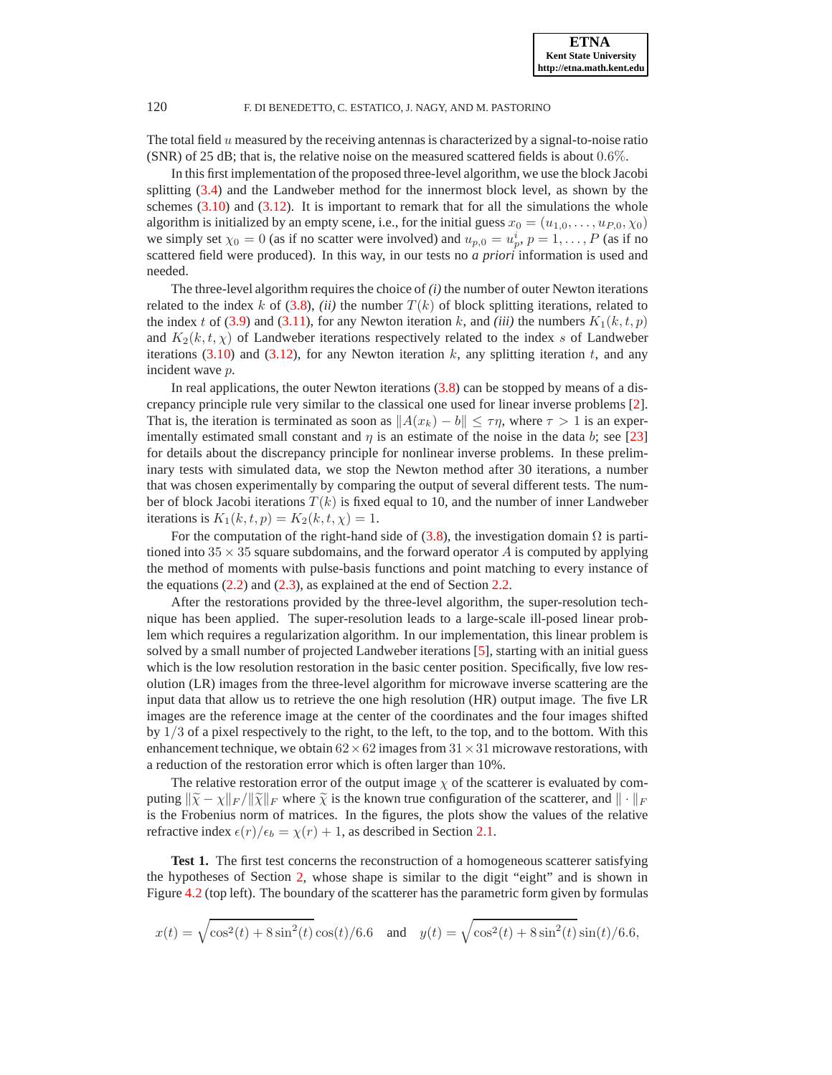The total field  $u$  measured by the receiving antennas is characterized by a signal-to-noise ratio (SNR) of 25 dB; that is, the relative noise on the measured scattered fields is about 0.6%.

In this first implementation of the proposed three-level algorithm, we use the block Jacobi splitting [\(3.4\)](#page-9-0) and the Landweber method for the innermost block level, as shown by the schemes  $(3.10)$  and  $(3.12)$ . It is important to remark that for all the simulations the whole algorithm is initialized by an empty scene, i.e., for the initial guess  $x_0 = (u_{1,0}, \dots, u_{P,0}, \chi_0)$ we simply set  $\chi_0 = 0$  (as if no scatter were involved) and  $u_{p,0} = u_p^i$ ,  $p = 1, \ldots, P$  (as if no scattered field were produced). In this way, in our tests no *a priori* information is used and needed.

The three-level algorithm requires the choice of *(i)* the number of outer Newton iterations related to the index k of [\(3.8\)](#page-10-0), *(ii)* the number  $T(k)$  of block splitting iterations, related to the index t of [\(3.9\)](#page-10-2) and [\(3.11\)](#page-11-0), for any Newton iteration k, and *(iii)* the numbers  $K_1(k, t, p)$ and  $K_2(k, t, \chi)$  of Landweber iterations respectively related to the index s of Landweber iterations [\(3.10\)](#page-11-1) and [\(3.12\)](#page-11-2), for any Newton iteration k, any splitting iteration t, and any incident wave p.

In real applications, the outer Newton iterations  $(3.8)$  can be stopped by means of a discrepancy principle rule very similar to the classical one used for linear inverse problems [\[2](#page-20-27)]. That is, the iteration is terminated as soon as  $||A(x_k) - b|| \leq \tau \eta$ , where  $\tau > 1$  is an experimentally estimated small constant and  $\eta$  is an estimate of the noise in the data b; see [\[23\]](#page-20-14) for details about the discrepancy principle for nonlinear inverse problems. In these preliminary tests with simulated data, we stop the Newton method after 30 iterations, a number that was chosen experimentally by comparing the output of several different tests. The number of block Jacobi iterations  $T(k)$  is fixed equal to 10, and the number of inner Landweber iterations is  $K_1(k, t, p) = K_2(k, t, \chi) = 1$ .

For the computation of the right-hand side of [\(3.8\)](#page-10-0), the investigation domain  $\Omega$  is partitioned into  $35 \times 35$  square subdomains, and the forward operator A is computed by applying the method of moments with pulse-basis functions and point matching to every instance of the equations  $(2.2)$  and  $(2.3)$ , as explained at the end of Section [2.2.](#page-3-3)

After the restorations provided by the three-level algorithm, the super-resolution technique has been applied. The super-resolution leads to a large-scale ill-posed linear problem which requires a regularization algorithm. In our implementation, this linear problem is solved by a small number of projected Landweber iterations [\[5](#page-20-15)], starting with an initial guess which is the low resolution restoration in the basic center position. Specifically, five low resolution (LR) images from the three-level algorithm for microwave inverse scattering are the input data that allow us to retrieve the one high resolution (HR) output image. The five LR images are the reference image at the center of the coordinates and the four images shifted by  $1/3$  of a pixel respectively to the right, to the left, to the top, and to the bottom. With this enhancement technique, we obtain  $62 \times 62$  images from  $31 \times 31$  microwave restorations, with a reduction of the restoration error which is often larger than 10%.

The relative restoration error of the output image  $\chi$  of the scatterer is evaluated by computing  $\|\tilde{\chi} - \chi\|_F / \|\tilde{\chi}\|_F$  where  $\tilde{\chi}$  is the known true configuration of the scatterer, and  $\|\cdot\|_F$ is the Frobenius norm of matrices. In the figures, the plots show the values of the relative refractive index  $\epsilon(r)/\epsilon_b = \chi(r) + 1$ , as described in Section [2.1.](#page-1-1)

**Test 1.** The first test concerns the reconstruction of a homogeneous scatterer satisfying the hypotheses of Section [2,](#page-1-0) whose shape is similar to the digit "eight" and is shown in Figure [4.2](#page-16-0) (top left). The boundary of the scatterer has the parametric form given by formulas

$$
x(t) = \sqrt{\cos^2(t) + 8\sin^2(t)}\cos(t)/6.6 \quad \text{and} \quad y(t) = \sqrt{\cos^2(t) + 8\sin^2(t)}\sin(t)/6.6,
$$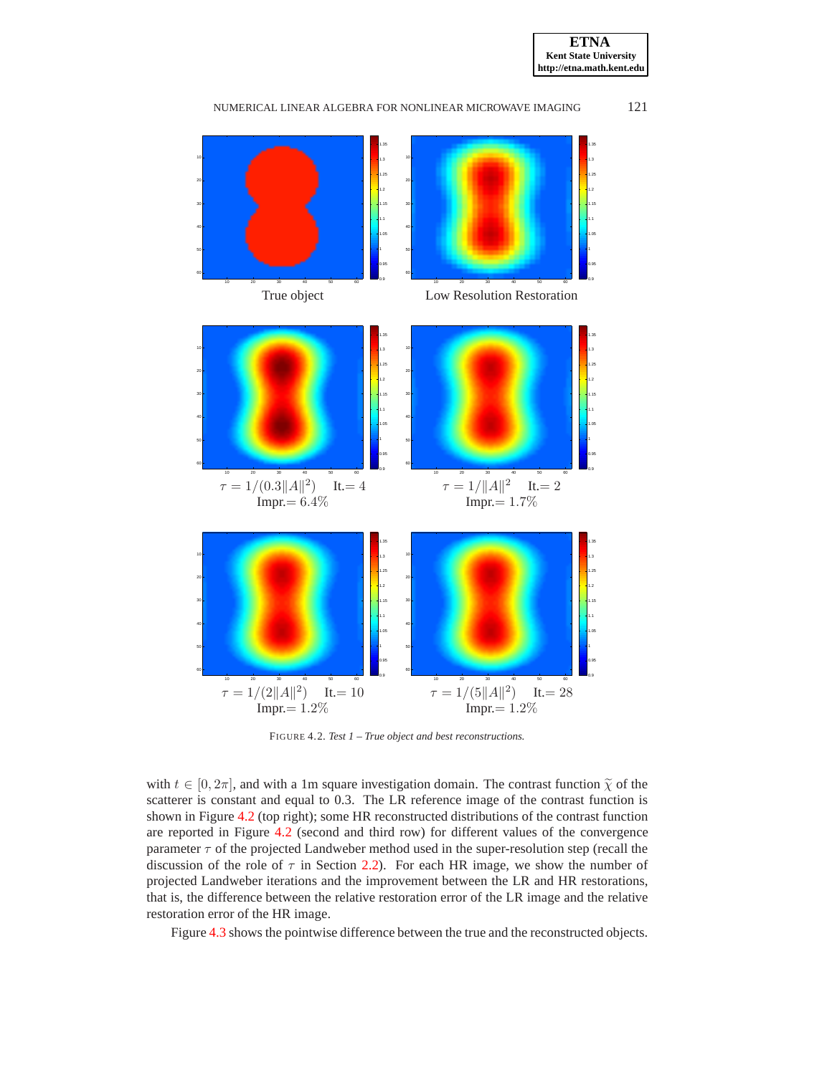



<span id="page-16-0"></span>FIGURE 4.2. *Test 1 – True object and best reconstructions.*

with  $t \in [0, 2\pi]$ , and with a 1m square investigation domain. The contrast function  $\tilde{\chi}$  of the scatterer is constant and equal to 0.3. The LR reference image of the contrast function is shown in Figure [4.2](#page-16-0) (top right); some HR reconstructed distributions of the contrast function are reported in Figure [4.2](#page-16-0) (second and third row) for different values of the convergence parameter  $\tau$  of the projected Landweber method used in the super-resolution step (recall the discussion of the role of  $\tau$  in Section [2.2\)](#page-3-3). For each HR image, we show the number of projected Landweber iterations and the improvement between the LR and HR restorations, that is, the difference between the relative restoration error of the LR image and the relative restoration error of the HR image.

Figure [4.3](#page-17-0) shows the pointwise difference between the true and the reconstructed objects.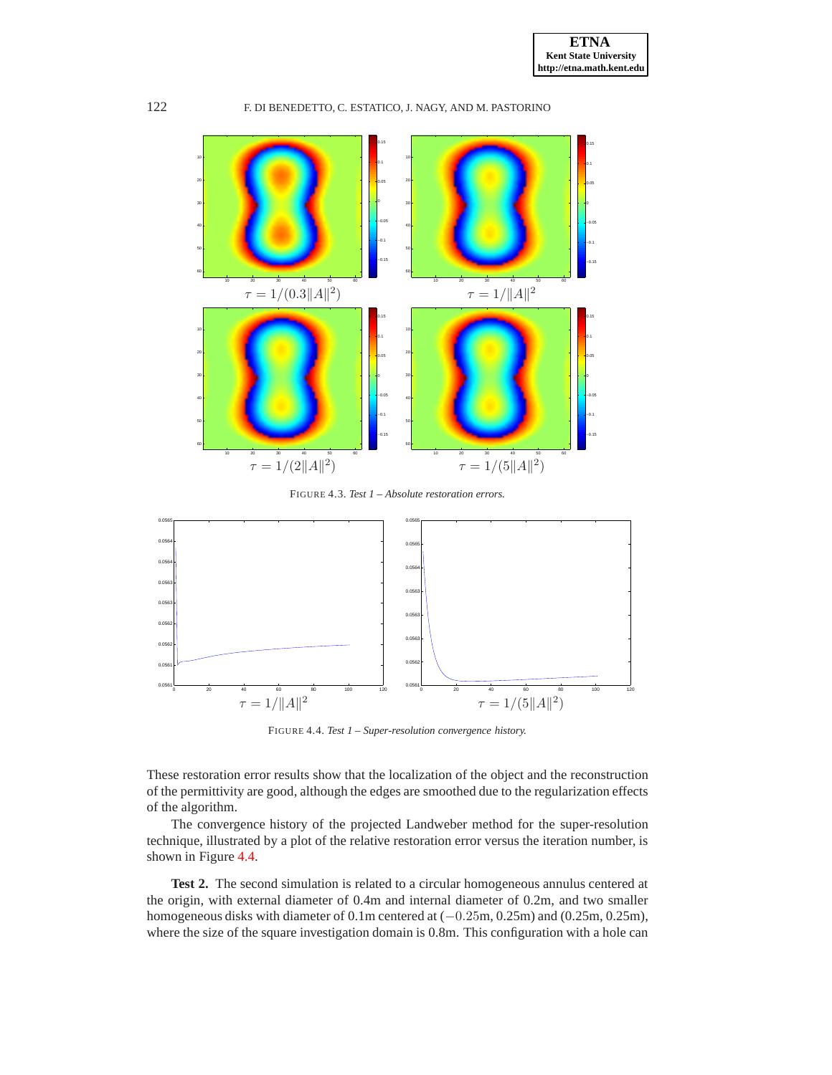

<span id="page-17-0"></span>FIGURE 4.3. *Test 1 – Absolute restoration errors.*



<span id="page-17-1"></span>FIGURE 4.4. *Test 1 – Super-resolution convergence history.*

These restoration error results show that the localization of the object and the reconstruction of the permittivity are good, although the edges are smoothed due to the regularization effects of the algorithm.

The convergence history of the projected Landweber method for the super-resolution technique, illustrated by a plot of the relative restoration error versus the iteration number, is shown in Figure [4.4.](#page-17-1)

**Test 2.** The second simulation is related to a circular homogeneous annulus centered at the origin, with external diameter of 0.4m and internal diameter of 0.2m, and two smaller homogeneous disks with diameter of 0.1m centered at (−0.25m, 0.25m) and (0.25m, 0.25m), where the size of the square investigation domain is 0.8m. This configuration with a hole can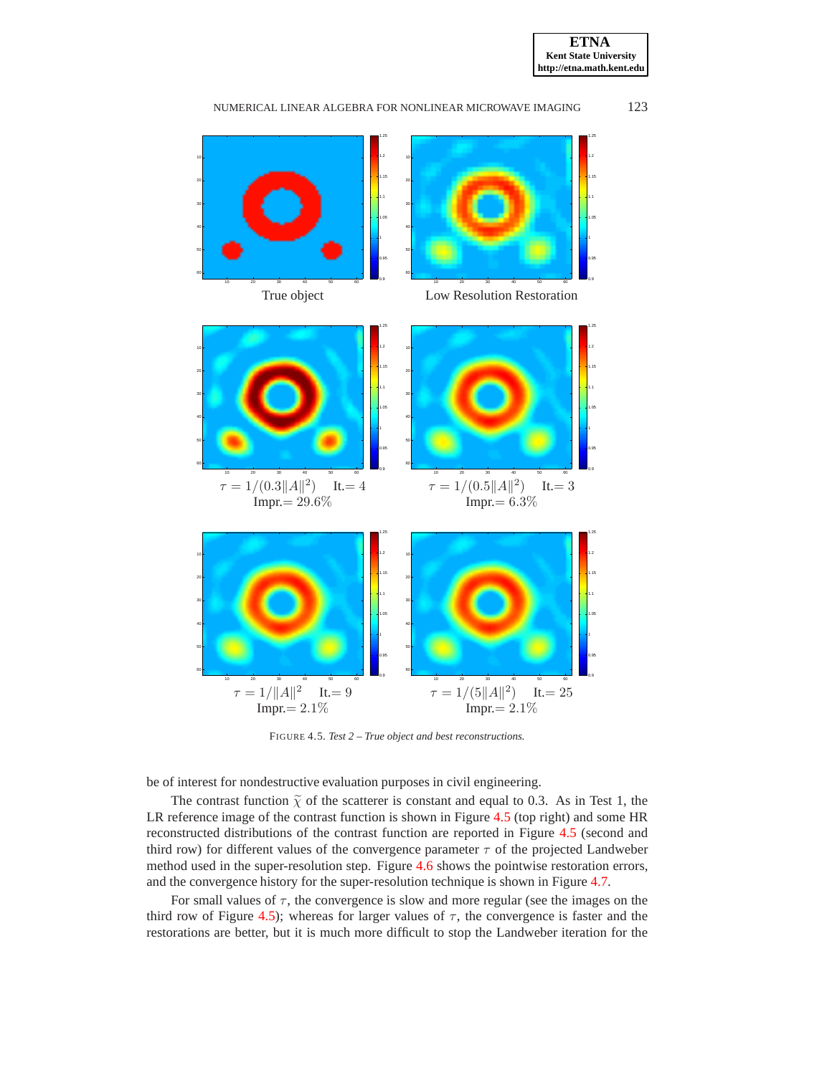



NUMERICAL LINEAR ALGEBRA FOR NONLINEAR MICROWAVE IMAGING 123

<span id="page-18-0"></span>FIGURE 4.5. *Test 2 – True object and best reconstructions.*

be of interest for nondestructive evaluation purposes in civil engineering.

The contrast function  $\tilde{\chi}$  of the scatterer is constant and equal to 0.3. As in Test 1, the LR reference image of the contrast function is shown in Figure [4.5](#page-18-0) (top right) and some HR reconstructed distributions of the contrast function are reported in Figure [4.5](#page-18-0) (second and third row) for different values of the convergence parameter  $\tau$  of the projected Landweber method used in the super-resolution step. Figure [4.6](#page-19-0) shows the pointwise restoration errors, and the convergence history for the super-resolution technique is shown in Figure [4.7.](#page-19-1)

For small values of  $\tau$ , the convergence is slow and more regular (see the images on the third row of Figure [4.5\)](#page-18-0); whereas for larger values of  $\tau$ , the convergence is faster and the restorations are better, but it is much more difficult to stop the Landweber iteration for the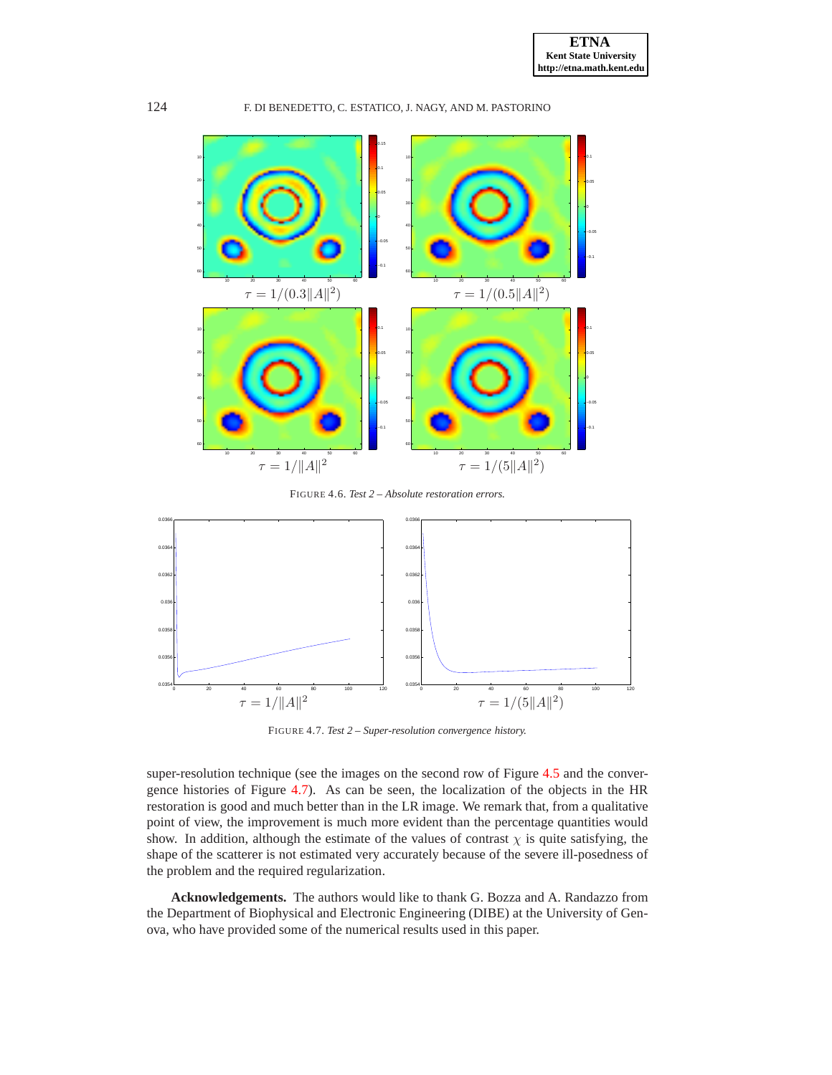

<span id="page-19-0"></span>FIGURE 4.6. *Test 2 – Absolute restoration errors.*



<span id="page-19-1"></span>FIGURE 4.7. *Test 2 – Super-resolution convergence history.*

super-resolution technique (see the images on the second row of Figure [4.5](#page-18-0) and the convergence histories of Figure [4.7\)](#page-19-1). As can be seen, the localization of the objects in the HR restoration is good and much better than in the LR image. We remark that, from a qualitative point of view, the improvement is much more evident than the percentage quantities would show. In addition, although the estimate of the values of contrast  $\chi$  is quite satisfying, the shape of the scatterer is not estimated very accurately because of the severe ill-posedness of the problem and the required regularization.

**Acknowledgements.** The authors would like to thank G. Bozza and A. Randazzo from the Department of Biophysical and Electronic Engineering (DIBE) at the University of Genova, who have provided some of the numerical results used in this paper.